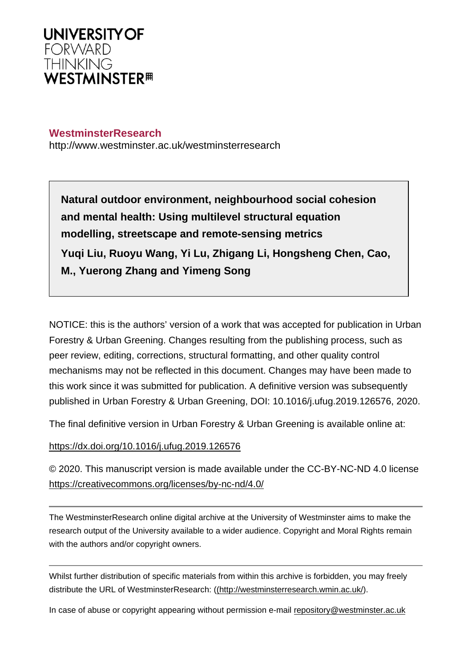

### **WestminsterResearch**

http://www.westminster.ac.uk/westminsterresearch

**Natural outdoor environment, neighbourhood social cohesion and mental health: Using multilevel structural equation modelling, streetscape and remote-sensing metrics Yuqi Liu, Ruoyu Wang, Yi Lu, Zhigang Li, Hongsheng Chen, Cao, M., Yuerong Zhang and Yimeng Song**

NOTICE: this is the authors' version of a work that was accepted for publication in Urban Forestry & Urban Greening. Changes resulting from the publishing process, such as peer review, editing, corrections, structural formatting, and other quality control mechanisms may not be reflected in this document. Changes may have been made to this work since it was submitted for publication. A definitive version was subsequently published in Urban Forestry & Urban Greening, DOI: 10.1016/j.ufug.2019.126576, 2020.

The final definitive version in Urban Forestry & Urban Greening is available online at:

<https://dx.doi.org/10.1016/j.ufug.2019.126576>

© 2020. This manuscript version is made available under the CC-BY-NC-ND 4.0 license <https://creativecommons.org/licenses/by-nc-nd/4.0/>

The WestminsterResearch online digital archive at the University of Westminster aims to make the research output of the University available to a wider audience. Copyright and Moral Rights remain with the authors and/or copyright owners.

Whilst further distribution of specific materials from within this archive is forbidden, you may freely distribute the URL of WestminsterResearch: [\(\(http://westminsterresearch.wmin.ac.uk/](http://westminsterresearch.wmin.ac.uk/)).

In case of abuse or copyright appearing without permission e-mail <repository@westminster.ac.uk>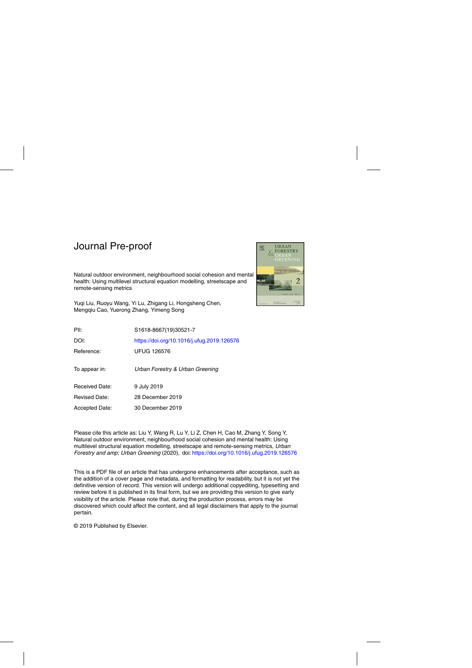Natural outdoor environment, neighbourhood social cohesion and mental health: Using multilevel structural equation modelling, streetscape and remote-sensing metrics



Yuqi Liu, Ruoyu Wang, Yi Lu, Zhigang Li, Hongsheng Chen, Mengqiu Cao, Yuerong Zhang, Yimeng Song

| PII:                  | S1618-8667(19)30521-7                      |
|-----------------------|--------------------------------------------|
| DOI:                  | https://doi.org/10.1016/j.ufug.2019.126576 |
| Reference:            | <b>UFUG 126576</b>                         |
| To appear in:         | Urban Forestry & Urban Greening            |
| <b>Received Date:</b> | 9 July 2019                                |
| <b>Revised Date:</b>  | 28 December 2019                           |
| <b>Accepted Date:</b> | 30 December 2019                           |
|                       |                                            |

Please cite this article as: Liu Y, Wang R, Lu Y, Li Z, Chen H, Cao M, Zhang Y, Song Y, Natural outdoor environment, neighbourhood social cohesion and mental health: Using multilevel structural equation modelling, streetscape and remote-sensing metrics, Urban Forestry and amp; Urban Greening (2020), doi: <https://doi.org/10.1016/j.ufug.2019.126576>

This is a PDF file of an article that has undergone enhancements after acceptance, such as the addition of a cover page and metadata, and formatting for readability, but it is not yet the definitive version of record. This version will undergo additional copyediting, typesetting and review before it is published in its final form, but we are providing this version to give early visibility of the article. Please note that, during the production process, errors may be discovered which could affect the content, and all legal disclaimers that apply to the journal pertain.

© 2019 Published by Elsevier.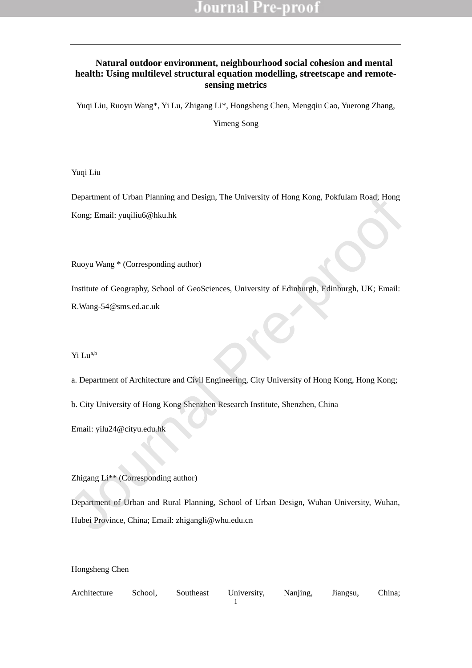### **Natural outdoor environment, neighbourhood social cohesion and mental health: Using multilevel structural equation modelling, streetscape and remotesensing metrics**

Yuqi Liu, Ruoyu Wang\*, Yi Lu, Zhigang Li\*, Hongsheng Chen, Mengqiu Cao, Yuerong Zhang,

Yimeng Song

Yuqi Liu

Department of Urban Planning and Design, The University of Hong Kong, Pokfulam Road, Hong Kong; Email: yuqiliu6@hku.hk Department of Urban Pianning and Design, The University of Hong Kong, Pokfulam Road, Hong<br>
Kong: Email: yuqiliu6@hku.hk<br>
Ruoyu Wang \* (Corresponding author)<br>
Institute of Geography, School of GeoSciences, University of Edi

Ruoyu Wang \* (Corresponding author)

Institute of Geography, School of GeoSciences, University of Edinburgh, Edinburgh, UK; Email: R.Wang-54@sms.ed.ac.uk

Yi Lua,b

a. Department of Architecture and Civil Engineering, City University of Hong Kong, Hong Kong;

b. City University of Hong Kong Shenzhen Research Institute, Shenzhen, China

Email: yilu24@cityu.edu.hk

Zhigang Li\*\* (Corresponding author)

Department of Urban and Rural Planning, School of Urban Design, Wuhan University, Wuhan, Hubei Province, China; Email: zhigangli@whu.edu.cn

Hongsheng Chen

1 Architecture School, Southeast University, Nanjing, Jiangsu, China;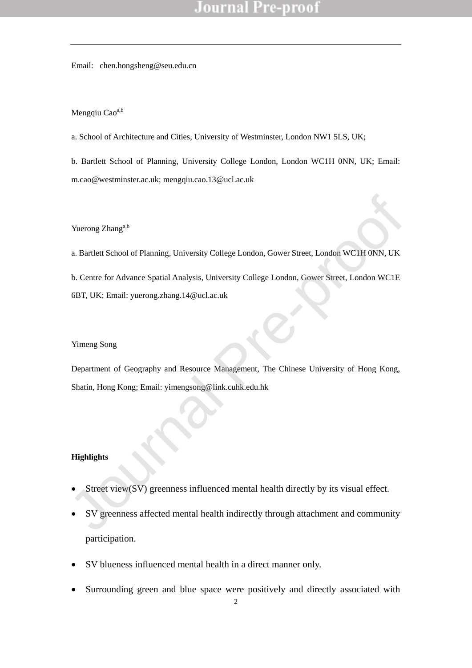Email: chen.hongsheng@seu.edu.cn

#### Mengqiu Cao<sup>a,b</sup>

a. School of Architecture and Cities, University of Westminster, London NW1 5LS, UK;

b. Bartlett School of Planning, University College London, London WC1H 0NN, UK; Email: m.cao@westminster.ac.uk; mengqiu.cao.13@ucl.ac.uk

#### Yuerong Zhang<sup>a,b</sup>

a. Bartlett School of Planning, University College London, Gower Street, London WC1H 0NN, UK b. Centre for Advance Spatial Analysis, University College London, Gower Street, London WC1E 6BT, UK; Email: yuerong.zhang.14@ucl.ac.uk Yuerong Zhang<sup>alo</sup><br>
1. Bartlett School of Planning, University College London, Gower Street, London WC1H 0NN, UK<br>
1. Bartlett School of Planning, University College London, Gower Street, London WC1E<br>
1. OBT, UK; Email: yue

#### Yimeng Song

Department of Geography and Resource Management, The Chinese University of Hong Kong, Shatin, Hong Kong; Email: yimengsong@link.cuhk.edu.hk

#### **Highlights**

- Street view(SV) greenness influenced mental health directly by its visual effect.
- SV greenness affected mental health indirectly through attachment and community participation.
- SV blueness influenced mental health in a direct manner only.
- Surrounding green and blue space were positively and directly associated with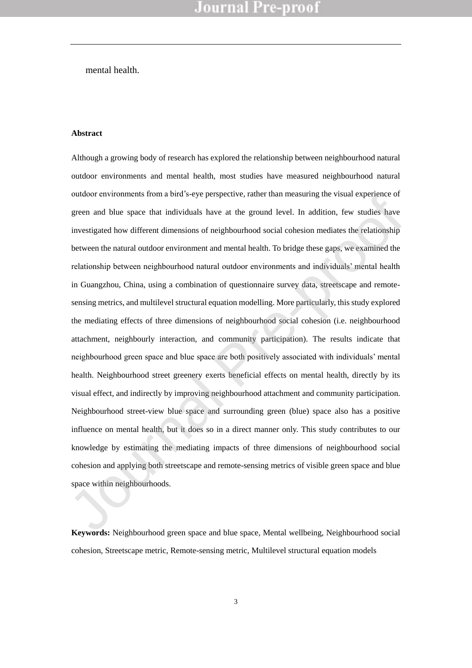mental health.

#### **Abstract**

Although a growing body of research has explored the relationship between neighbourhood natural outdoor environments and mental health, most studies have measured neighbourhood natural outdoor environments from a bird's-eye perspective, rather than measuring the visual experience of green and blue space that individuals have at the ground level. In addition, few studies have investigated how different dimensions of neighbourhood social cohesion mediates the relationship between the natural outdoor environment and mental health. To bridge these gaps, we examined the relationship between neighbourhood natural outdoor environments and individuals' mental health in Guangzhou, China, using a combination of questionnaire survey data, streetscape and remotesensing metrics, and multilevel structural equation modelling. More particularly, this study explored the mediating effects of three dimensions of neighbourhood social cohesion (i.e. neighbourhood attachment, neighbourly interaction, and community participation). The results indicate that neighbourhood green space and blue space are both positively associated with individuals' mental health. Neighbourhood street greenery exerts beneficial effects on mental health, directly by its visual effect, and indirectly by improving neighbourhood attachment and community participation. Neighbourhood street-view blue space and surrounding green (blue) space also has a positive influence on mental health, but it does so in a direct manner only. This study contributes to our knowledge by estimating the mediating impacts of three dimensions of neighbourhood social cohesion and applying both streetscape and remote-sensing metrics of visible green space and blue space within neighbourhoods. oution entrolomients from a bitu sevel perspective, future tuan measuing the visual experience of<br>green and blue space that individuals have at the ground level. In addition, few studies have<br>investigated how different dim

**Keywords:** Neighbourhood green space and blue space, Mental wellbeing, Neighbourhood social cohesion, Streetscape metric, Remote-sensing metric, Multilevel structural equation models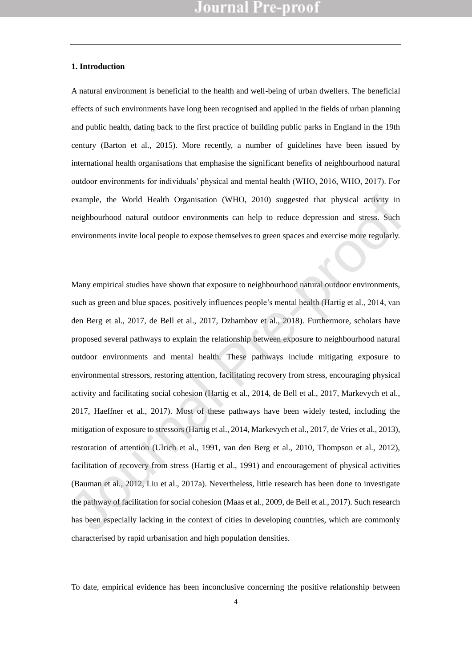#### **1. Introduction**

A natural environment is beneficial to the health and well-being of urban dwellers. The beneficial effects of such environments have long been recognised and applied in the fields of urban planning and public health, dating back to the first practice of building public parks in England in the 19th century (Barton et al., 2015). More recently, a number of guidelines have been issued by international health organisations that emphasise the significant benefits of neighbourhood natural outdoor environments for individuals' physical and mental health (WHO, 2016, WHO, 2017). For example, the World Health Organisation (WHO, 2010) suggested that physical activity in neighbourhood natural outdoor environments can help to reduce depression and stress. Such environments invite local people to expose themselves to green spaces and exercise more regularly.

Many empirical studies have shown that exposure to neighbourhood natural outdoor environments, such as green and blue spaces, positively influences people's mental health (Hartig et al., 2014, van den Berg et al., 2017, de Bell et al., 2017, Dzhambov et al., 2018). Furthermore, scholars have proposed several pathways to explain the relationship between exposure to neighbourhood natural outdoor environments and mental health. These pathways include mitigating exposure to environmental stressors, restoring attention, facilitating recovery from stress, encouraging physical activity and facilitating social cohesion (Hartig et al., 2014, de Bell et al., 2017, Markevych et al., 2017, Haeffner et al., 2017). Most of these pathways have been widely tested, including the mitigation of exposure to stressors (Hartig et al., 2014, Markevych et al., 2017, de Vries et al., 2013), restoration of attention (Ulrich et al., 1991, van den Berg et al., 2010, Thompson et al., 2012), facilitation of recovery from stress (Hartig et al., 1991) and encouragement of physical activities (Bauman et al., 2012, Liu et al., 2017a). Nevertheless, little research has been done to investigate the pathway of facilitation for social cohesion (Maas et al., 2009, de Bell et al., 2017). Such research has been especially lacking in the context of cities in developing countries, which are commonly characterised by rapid urbanisation and high population densities. example, the World Health Organisation (WHO, 2010) suggested that physical activity in<br>neighbourhood natural outdoor environments can help to reduce depression and stress. Such<br>environments invite local people to expose t

To date, empirical evidence has been inconclusive concerning the positive relationship between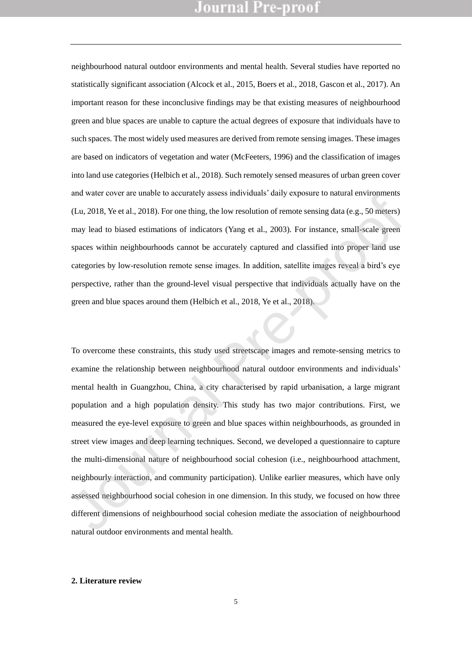neighbourhood natural outdoor environments and mental health. Several studies have reported no statistically significant association (Alcock et al., 2015, Boers et al., 2018, Gascon et al., 2017). An important reason for these inconclusive findings may be that existing measures of neighbourhood green and blue spaces are unable to capture the actual degrees of exposure that individuals have to such spaces. The most widely used measures are derived from remote sensing images. These images are based on indicators of vegetation and water (McFeeters, 1996) and the classification of images into land use categories (Helbich et al., 2018). Such remotely sensed measures of urban green cover and water cover are unable to accurately assess individuals' daily exposure to natural environments (Lu, 2018, Ye et al., 2018). For one thing, the low resolution of remote sensing data (e.g., 50 meters) may lead to biased estimations of indicators (Yang et al., 2003). For instance, small-scale green spaces within neighbourhoods cannot be accurately captured and classified into proper land use categories by low-resolution remote sense images. In addition, satellite images reveal a bird's eye perspective, rather than the ground-level visual perspective that individuals actually have on the green and blue spaces around them (Helbich et al., 2018, Ye et al., 2018).

To overcome these constraints, this study used streetscape images and remote-sensing metrics to examine the relationship between neighbourhood natural outdoor environments and individuals' mental health in Guangzhou, China, a city characterised by rapid urbanisation, a large migrant population and a high population density. This study has two major contributions. First, we measured the eye-level exposure to green and blue spaces within neighbourhoods, as grounded in street view images and deep learning techniques. Second, we developed a questionnaire to capture the multi-dimensional nature of neighbourhood social cohesion (i.e., neighbourhood attachment, neighbourly interaction, and community participation). Unlike earlier measures, which have only assessed neighbourhood social cohesion in one dimension. In this study, we focused on how three different dimensions of neighbourhood social cohesion mediate the association of neighbourhood natural outdoor environments and mental health. and water over all analote to accuracity assess interviations tany exposite to natural entrolomients<br>
(Lu, 2018, Ye et al., 2018). For one thing, the low resolution of remote sensing data (e.g., 50 meters)<br>
may lead to bia

#### **2. Literature review**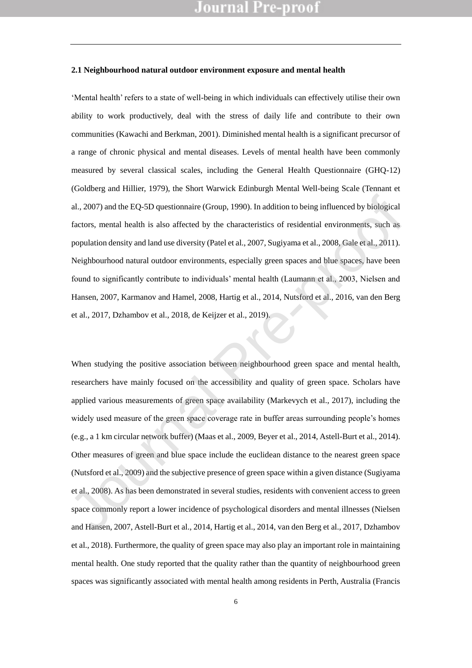#### **2.1 Neighbourhood natural outdoor environment exposure and mental health**

'Mental health' refers to a state of well-being in which individuals can effectively utilise their own ability to work productively, deal with the stress of daily life and contribute to their own communities (Kawachi and Berkman, 2001). Diminished mental health is a significant precursor of a range of chronic physical and mental diseases. Levels of mental health have been commonly measured by several classical scales, including the General Health Questionnaire (GHQ-12) (Goldberg and Hillier, 1979), the Short Warwick Edinburgh Mental Well-being Scale (Tennant et al., 2007) and the EQ-5D questionnaire (Group, 1990). In addition to being influenced by biological factors, mental health is also affected by the characteristics of residential environments, such as population density and land use diversity (Patel et al., 2007, Sugiyama et al., 2008, Gale et al., 2011). Neighbourhood natural outdoor environments, especially green spaces and blue spaces, have been found to significantly contribute to individuals' mental health (Laumann et al., 2003, Nielsen and Hansen, 2007, Karmanov and Hamel, 2008, Hartig et al., 2014, Nutsford et al., 2016, van den Berg et al., 2017, Dzhambov et al., 2018, de Keijzer et al., 2019).

When studying the positive association between neighbourhood green space and mental health, researchers have mainly focused on the accessibility and quality of green space. Scholars have applied various measurements of green space availability (Markevych et al., 2017), including the widely used measure of the green space coverage rate in buffer areas surrounding people's homes (e.g., a 1 km circular network buffer) (Maas et al., 2009, Beyer et al., 2014, Astell-Burt et al., 2014). Other measures of green and blue space include the euclidean distance to the nearest green space (Nutsford et al., 2009) and the subjective presence of green space within a given distance (Sugiyama et al., 2008). As has been demonstrated in several studies, residents with convenient access to green space commonly report a lower incidence of psychological disorders and mental illnesses (Nielsen and Hansen, 2007, Astell-Burt et al., 2014, Hartig et al., 2014, van den Berg et al., 2017, Dzhambov et al., 2018). Furthermore, the quality of green space may also play an important role in maintaining mental health. One study reported that the quality rather than the quantity of neighbourhood green spaces was significantly associated with mental health among residents in Perth, Australia (Francis al., 2007) and the EQ-5D questionnaire (Group, 1990). In addition to being influenced by biological<br>factors, mental health is also affected by the characteristics of residential environments, such as<br>population density and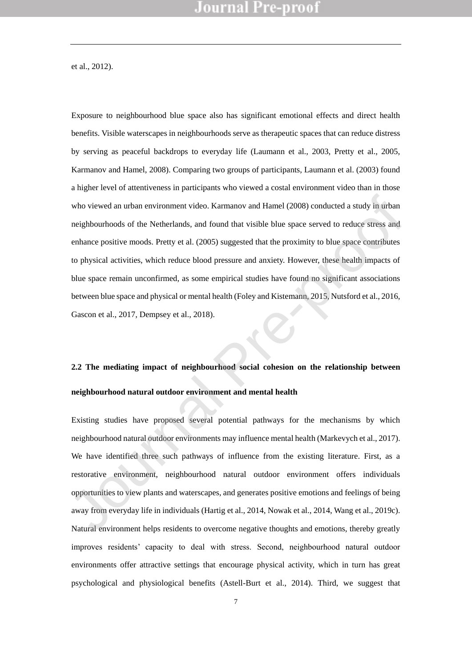et al., 2012).

Exposure to neighbourhood blue space also has significant emotional effects and direct health benefits. Visible waterscapes in neighbourhoods serve as therapeutic spaces that can reduce distress by serving as peaceful backdrops to everyday life (Laumann et al., 2003, Pretty et al., 2005, Karmanov and Hamel, 2008). Comparing two groups of participants, Laumann et al. (2003) found a higher level of attentiveness in participants who viewed a costal environment video than in those who viewed an urban environment video. Karmanov and Hamel (2008) conducted a study in urban neighbourhoods of the Netherlands, and found that visible blue space served to reduce stress and enhance positive moods. Pretty et al. (2005) suggested that the proximity to blue space contributes to physical activities, which reduce blood pressure and anxiety. However, these health impacts of blue space remain unconfirmed, as some empirical studies have found no significant associations between blue space and physical or mental health (Foley and Kistemann, 2015, Nutsford et al., 2016, Gascon et al., 2017, Dempsey et al., 2018). who viewed an urban environment video. Karmanov and Hamel (2008) conducted a study in urban<br>neighbourhoods of the Netherlands, and found that visible blue space served to reduce stress and<br>enhance positive moods. Pretty et

# **2.2 The mediating impact of neighbourhood social cohesion on the relationship between neighbourhood natural outdoor environment and mental health**

Existing studies have proposed several potential pathways for the mechanisms by which neighbourhood natural outdoor environments may influence mental health (Markevych et al., 2017). We have identified three such pathways of influence from the existing literature. First, as a restorative environment, neighbourhood natural outdoor environment offers individuals opportunities to view plants and waterscapes, and generates positive emotions and feelings of being away from everyday life in individuals (Hartig et al., 2014, Nowak et al., 2014, Wang et al., 2019c). Natural environment helps residents to overcome negative thoughts and emotions, thereby greatly improves residents' capacity to deal with stress. Second, neighbourhood natural outdoor environments offer attractive settings that encourage physical activity, which in turn has great psychological and physiological benefits (Astell-Burt et al., 2014). Third, we suggest that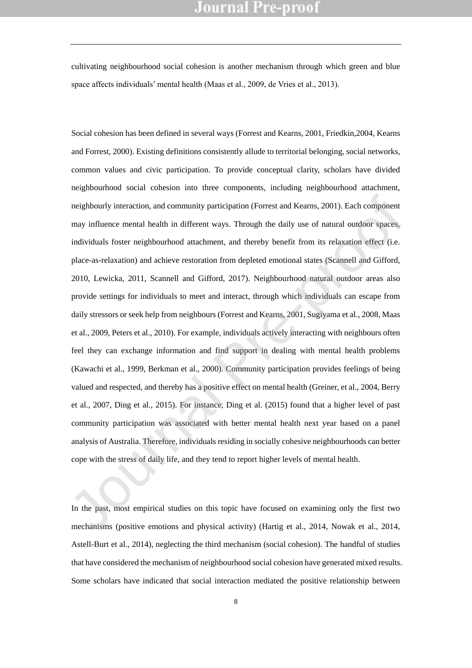cultivating neighbourhood social cohesion is another mechanism through which green and blue space affects individuals' mental health (Maas et al., 2009, de Vries et al., 2013).

Social cohesion has been defined in several ways (Forrest and Kearns, 2001, Friedkin,2004, Kearns and Forrest, 2000). Existing definitions consistently allude to territorial belonging, social networks, common values and civic participation. To provide conceptual clarity, scholars have divided neighbourhood social cohesion into three components, including neighbourhood attachment, neighbourly interaction, and community participation (Forrest and Kearns, 2001). Each component may influence mental health in different ways. Through the daily use of natural outdoor spaces, individuals foster neighbourhood attachment, and thereby benefit from its relaxation effect (i.e. place-as-relaxation) and achieve restoration from depleted emotional states (Scannell and Gifford, 2010, Lewicka, 2011, Scannell and Gifford, 2017). Neighbourhood natural outdoor areas also provide settings for individuals to meet and interact, through which individuals can escape from daily stressors or seek help from neighbours (Forrest and Kearns, 2001, Sugiyama et al., 2008, Maas et al., 2009, Peters et al., 2010). For example, individuals actively interacting with neighbours often feel they can exchange information and find support in dealing with mental health problems (Kawachi et al., 1999, Berkman et al., 2000). Community participation provides feelings of being valued and respected, and thereby has a positive effect on mental health (Greiner, et al., 2004, Berry et al., 2007, Ding et al., 2015). For instance, Ding et al. (2015) found that a higher level of past community participation was associated with better mental health next year based on a panel analysis of Australia. Therefore, individuals residing in socially cohesive neighbourhoods can better cope with the stress of daily life, and they tend to report higher levels of mental health. neighbourly interaction, and community participation (Forrest and Kearns, 2001). Each component<br>may influence mental health in different ways. Through the daily use of natural outdoor spaces,<br>individuals foster neighbourho

In the past, most empirical studies on this topic have focused on examining only the first two mechanisms (positive emotions and physical activity) (Hartig et al., 2014, Nowak et al., 2014, Astell-Burt et al., 2014), neglecting the third mechanism (social cohesion). The handful of studies that have considered the mechanism of neighbourhood social cohesion have generated mixed results. Some scholars have indicated that social interaction mediated the positive relationship between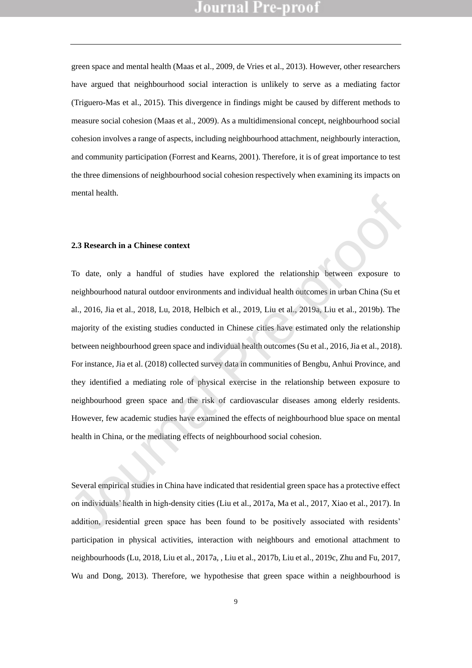green space and mental health (Maas et al., 2009, de Vries et al., 2013). However, other researchers have argued that neighbourhood social interaction is unlikely to serve as a mediating factor (Triguero-Mas et al., 2015). This divergence in findings might be caused by different methods to measure social cohesion (Maas et al., 2009). As a multidimensional concept, neighbourhood social cohesion involves a range of aspects, including neighbourhood attachment, neighbourly interaction, and community participation (Forrest and Kearns, 2001). Therefore, it is of great importance to test the three dimensions of neighbourhood social cohesion respectively when examining its impacts on mental health.

#### **2.3 Research in a Chinese context**

To date, only a handful of studies have explored the relationship between exposure to neighbourhood natural outdoor environments and individual health outcomes in urban China (Su et al., 2016, Jia et al., 2018, Lu, 2018, Helbich et al., 2019, Liu et al., 2019a, Liu et al., 2019b). The majority of the existing studies conducted in Chinese cities have estimated only the relationship between neighbourhood green space and individual health outcomes (Su et al., 2016, Jia et al., 2018). For instance, Jia et al. (2018) collected survey data in communities of Bengbu, Anhui Province, and they identified a mediating role of physical exercise in the relationship between exposure to neighbourhood green space and the risk of cardiovascular diseases among elderly residents. However, few academic studies have examined the effects of neighbourhood blue space on mental health in China, or the mediating effects of neighbourhood social cohesion. 2.3 Research in a Chinese context<br>
To date, only a handful of studies have explored the relationship between exposure to<br>
neighbourhood natural outdoor environments and individual health outcomes in urban China (Su et<br>
al

Several empirical studies in China have indicated that residential green space has a protective effect on individuals' health in high-density cities (Liu et al., 2017a, Ma et al., 2017, Xiao et al., 2017). In addition, residential green space has been found to be positively associated with residents' participation in physical activities, interaction with neighbours and emotional attachment to neighbourhoods (Lu, 2018, Liu et al., 2017a, , Liu et al., 2017b, Liu et al., 2019c, Zhu and Fu, 2017, Wu and Dong, 2013). Therefore, we hypothesise that green space within a neighbourhood is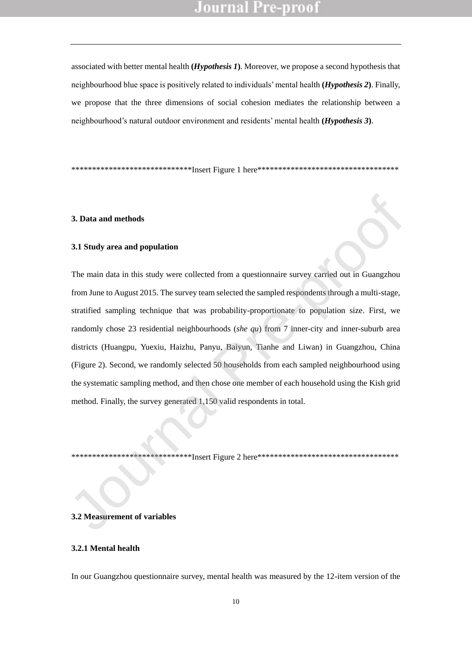associated with better mental health **(***Hypothesis 1***)**. Moreover, we propose a second hypothesis that neighbourhood blue space is positively related to individuals' mental health **(***Hypothesis 2***)**. Finally, we propose that the three dimensions of social cohesion mediates the relationship between a neighbourhood's natural outdoor environment and residents' mental health **(***Hypothesis 3***)**.

\*\*\*\*\*\*\*\*\*\*\*\*\*\*\*\*\*\*\*\*\*\*\*\*\*\*\*\*\*\*\*\*\*Insert Figure 1 here\*\*\*\*\*\*\*\*\*\*\*\*\*\*\*\*\*\*\*\*\*\*\*\*\*\*\*\*\*\*\*\*\*

#### **3. Data and methods**

#### **3.1 Study area and population**

The main data in this study were collected from a questionnaire survey carried out in Guangzhou from June to August 2015. The survey team selected the sampled respondents through a multi-stage, stratified sampling technique that was probability-proportionate to population size. First, we randomly chose 23 residential neighbourhoods (*she qu*) from 7 inner-city and inner-suburb area districts (Huangpu, Yuexiu, Haizhu, Panyu, Baiyun, Tianhe and Liwan) in Guangzhou, China (Figure 2). Second, we randomly selected 50 households from each sampled neighbourhood using the systematic sampling method, and then chose one member of each household using the Kish grid method. Finally, the survey generated 1,150 valid respondents in total. 3. Data and methods<br>
3.1 Study area and population<br>
The main data in this study were collected from a questionnaire survey carried out in Guangzhou<br>
from June to August 2015. The survey team selected the sampled responden

\*\*\*\*\*\*\*\*\*\*\*\*\*\*\*\*\*\*\*\*\*\*\*\*\*\*\*\*\*Insert Figure 2 here\*\*\*\*\*\*\*\*\*\*\*\*\*\*\*\*\*\*\*\*\*\*\*\*\*\*\*\*\*\*\*\*\*\*

#### **3.2 Measurement of variables**

#### **3.2.1 Mental health**

In our Guangzhou questionnaire survey, mental health was measured by the 12-item version of the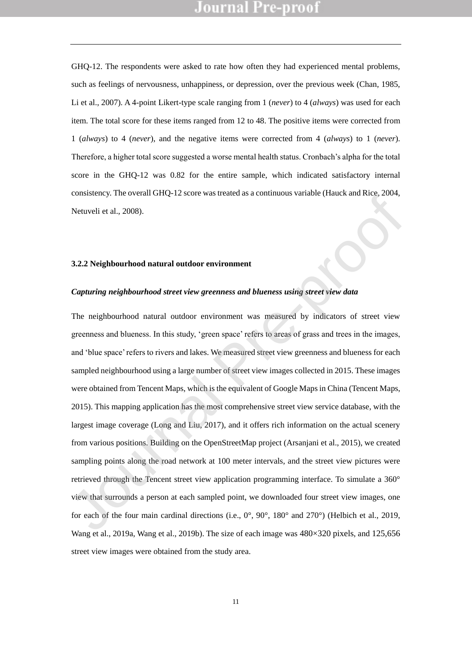GHQ-12. The respondents were asked to rate how often they had experienced mental problems, such as feelings of nervousness, unhappiness, or depression, over the previous week (Chan, 1985, Li et al., 2007). A 4-point Likert-type scale ranging from 1 (*never*) to 4 (*always*) was used for each item. The total score for these items ranged from 12 to 48. The positive items were corrected from 1 (*always*) to 4 (*never*), and the negative items were corrected from 4 (*always*) to 1 (*never*). Therefore, a higher total score suggested a worse mental health status. Cronbach's alpha for the total score in the GHQ-12 was 0.82 for the entire sample, which indicated satisfactory internal consistency. The overall GHQ-12 score was treated as a continuous variable (Hauck and Rice, 2004, Netuveli et al., 2008).

#### **3.2.2 Neighbourhood natural outdoor environment**

#### *Capturing neighbourhood street view greenness and blueness using street view data*

The neighbourhood natural outdoor environment was measured by indicators of street view greenness and blueness. In this study, 'green space' refers to areas of grass and trees in the images, and 'blue space' refers to rivers and lakes. We measured street view greenness and blueness for each sampled neighbourhood using a large number of street view images collected in 2015. These images were obtained from Tencent Maps, which is the equivalent of Google Maps in China (Tencent Maps, 2015). This mapping application has the most comprehensive street view service database, with the largest image coverage (Long and Liu, 2017), and it offers rich information on the actual scenery from various positions. Building on the OpenStreetMap project (Arsanjani et al., 2015), we created sampling points along the road network at 100 meter intervals, and the street view pictures were retrieved through the Tencent street view application programming interface. To simulate a 360° view that surrounds a person at each sampled point, we downloaded four street view images, one for each of the four main cardinal directions (i.e., 0°, 90°, 180° and 270°) (Helbich et al., 2019, Wang et al., 2019a, Wang et al., 2019b). The size of each image was 480×320 pixels, and 125,656 street view images were obtained from the study area. Consistency, The overall Oricy-12 score was treated as a commitous variance chaots and Kee, 200-<br>
Netwoli et al., 2008).<br>
Seture is al., 2008).<br>
Seture is al., 2008).<br>
Seture in a transmit outdoor environment<br>
Capturing n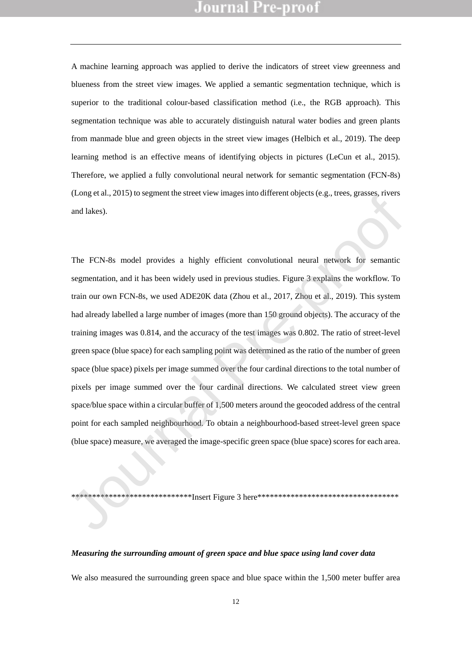A machine learning approach was applied to derive the indicators of street view greenness and blueness from the street view images. We applied a semantic segmentation technique, which is superior to the traditional colour-based classification method (i.e., the RGB approach). This segmentation technique was able to accurately distinguish natural water bodies and green plants from manmade blue and green objects in the street view images (Helbich et al., 2019). The deep learning method is an effective means of identifying objects in pictures (LeCun et al., 2015). Therefore, we applied a fully convolutional neural network for semantic segmentation (FCN-8s) (Long et al., 2015) to segment the street view images into different objects (e.g., trees, grasses, rivers and lakes).

The FCN-8s model provides a highly efficient convolutional neural network for semantic segmentation, and it has been widely used in previous studies. Figure 3 explains the workflow. To train our own FCN-8s, we used ADE20K data (Zhou et al., 2017, Zhou et al., 2019). This system had already labelled a large number of images (more than 150 ground objects). The accuracy of the training images was 0.814, and the accuracy of the test images was 0.802. The ratio of street-level green space (blue space) for each sampling point was determined as the ratio of the number of green space (blue space) pixels per image summed over the four cardinal directions to the total number of pixels per image summed over the four cardinal directions. We calculated street view green space/blue space within a circular buffer of 1,500 meters around the geocoded address of the central point for each sampled neighbourhood. To obtain a neighbourhood-based street-level green space (blue space) measure, we averaged the image-specific green space (blue space) scores for each area. (Long et al., 2013) to segment me succe view magges into united in topics (e.g., arees, grasses, fivers<br>and lakes).<br>The FCN-8s model provides a highly efficient convolutional neural network for semantic<br>segmentation, and

\*\*\*\*\*\*\*\*\*\*\*\*\*\*\*\*\*\*\*\*\*\*\*\*\*\*\*\*\*Insert Figure 3 here\*\*\*\*\*\*\*\*\*\*\*\*\*\*\*\*\*\*\*\*\*\*\*\*\*\*\*\*\*\*\*\*\*\*

#### *Measuring the surrounding amount of green space and blue space using land cover data*

We also measured the surrounding green space and blue space within the 1,500 meter buffer area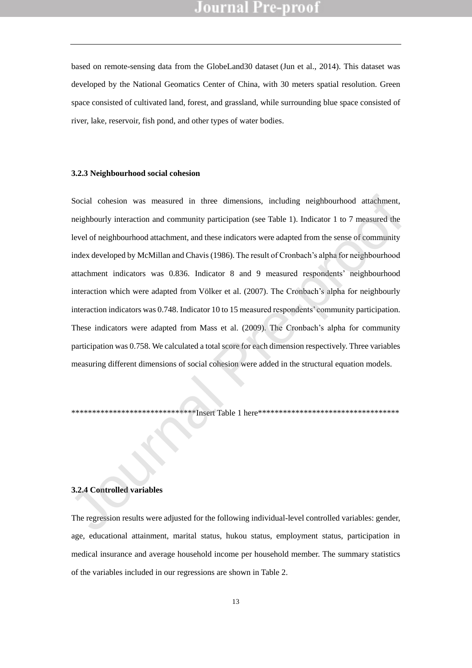based on remote-sensing data from the GlobeLand30 dataset (Jun et al., 2014). This dataset was developed by the National Geomatics Center of China, with 30 meters spatial resolution. Green space consisted of cultivated land, forest, and grassland, while surrounding blue space consisted of river, lake, reservoir, fish pond, and other types of water bodies.

#### **3.2.3 Neighbourhood social cohesion**

Social cohesion was measured in three dimensions, including neighbourhood attachment, neighbourly interaction and community participation (see Table 1). Indicator 1 to 7 measured the level of neighbourhood attachment, and these indicators were adapted from the sense of community index developed by McMillan and Chavis (1986). The result of Cronbach's alpha for neighbourhood attachment indicators was 0.836. Indicator 8 and 9 measured respondents' neighbourhood interaction which were adapted from Völker et al. (2007). The Cronbach's alpha for neighbourly interaction indicators was 0.748. Indicator 10 to 15 measured respondents' community participation. These indicators were adapted from Mass et al. (2009). The Cronbach's alpha for community participation was 0.758. We calculated a total score for each dimension respectively. Three variables measuring different dimensions of social cohesion were added in the structural equation models. Social cohesion was measured in three dimensions, including neighbourhood attachment,<br>neighbourhy interaction and community participation (see Table 1). Indicator 1 to 7 measured the<br>level of neighbourhood attachment, and

\*\*\*\*\*\*\*\*\*\*\*\*\*\*\*\*\*\*\*\*\*\*\*\*\*\*\*\*\*\*Insert Table 1 here\*\*\*\*\*\*\*\*\*\*\*\*\*\*\*\*\*\*\*\*\*\*\*\*\*\*\*\*\*\*\*\*\*\*

#### **3.2.4 Controlled variables**

The regression results were adjusted for the following individual-level controlled variables: gender, age, educational attainment, marital status, hukou status, employment status, participation in medical insurance and average household income per household member. The summary statistics of the variables included in our regressions are shown in Table 2.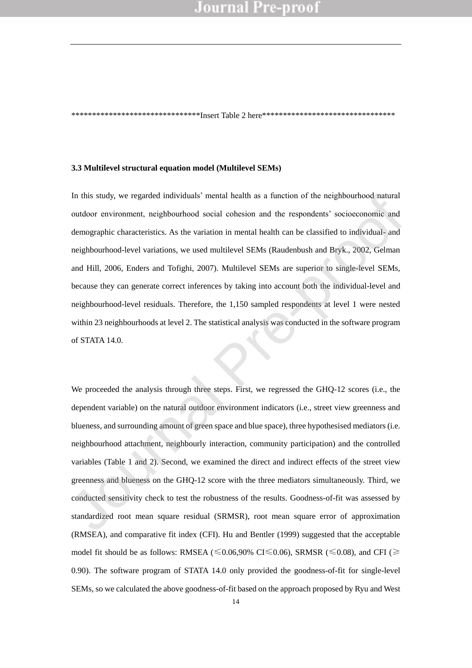\*\*\*\*\*\*\*\*\*\*\*\*\*\*\*\*\*\*\*\*\*\*\*\*\*\*\*\*\*\*\*Insert Table 2 here\*\*\*\*\*\*\*\*\*\*\*\*\*\*\*\*\*\*\*\*\*\*\*\*\*\*\*\*\*\*\*\*

#### **3.3 Multilevel structural equation model (Multilevel SEMs)**

In this study, we regarded individuals' mental health as a function of the neighbourhood natural outdoor environment, neighbourhood social cohesion and the respondents' socioeconomic and demographic characteristics. As the variation in mental health can be classified to individual- and neighbourhood-level variations, we used multilevel SEMs (Raudenbush and Bryk., 2002, Gelman and Hill, 2006, Enders and Tofighi, 2007). Multilevel SEMs are superior to single-level SEMs, because they can generate correct inferences by taking into account both the individual-level and neighbourhood-level residuals. Therefore, the 1,150 sampled respondents at level 1 were nested within 23 neighbourhoods at level 2. The statistical analysis was conducted in the software program of STATA 14.0. In this study, we regarded individuals mental health as a function of the neighbourhood natural<br>outdoor environment, neighbourhood social cohesion and the respondents' socioeconomic and<br>demographic characteristics. As the

We proceeded the analysis through three steps. First, we regressed the GHQ-12 scores (i.e., the dependent variable) on the natural outdoor environment indicators (i.e., street view greenness and blueness, and surrounding amount of green space and blue space), three hypothesised mediators (i.e. neighbourhood attachment, neighbourly interaction, community participation) and the controlled variables (Table 1 and 2). Second, we examined the direct and indirect effects of the street view greenness and blueness on the GHQ-12 score with the three mediators simultaneously. Third, we conducted sensitivity check to test the robustness of the results. Goodness-of-fit was assessed by standardized root mean square residual (SRMSR), root mean square error of approximation (RMSEA), and comparative fit index (CFI). Hu and Bentler (1999) suggested that the acceptable model fit should be as follows: RMSEA ( $\leq 0.06,90\%$  CI $\leq 0.06$ ), SRMSR ( $\leq 0.08$ ), and CFI ( $\geq$ 0.90). The software program of STATA 14.0 only provided the goodness-of-fit for single-level SEMs, so we calculated the above goodness-of-fit based on the approach proposed by Ryu and West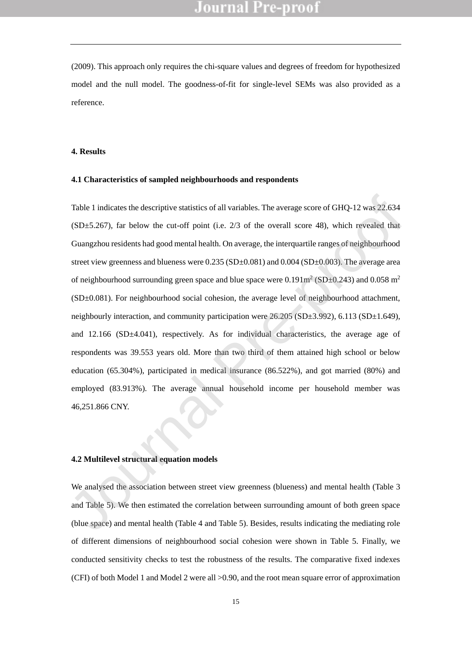(2009). This approach only requires the chi-square values and degrees of freedom for hypothesized model and the null model. The goodness-of-fit for single-level SEMs was also provided as a reference.

#### **4. Results**

#### **4.1 Characteristics of sampled neighbourhoods and respondents**

Table 1 indicates the descriptive statistics of all variables. The average score of GHQ-12 was 22.634 (SD±5.267), far below the cut-off point (i.e. 2/3 of the overall score 48), which revealed that Guangzhou residents had good mental health. On average, the interquartile ranges of neighbourhood street view greenness and blueness were  $0.235$  (SD $\pm 0.081$ ) and  $0.004$  (SD $\pm 0.003$ ). The average area of neighbourhood surrounding green space and blue space were  $0.191m^2(SD\pm 0.243)$  and  $0.058 m^2$ (SD±0.081). For neighbourhood social cohesion, the average level of neighbourhood attachment, neighbourly interaction, and community participation were 26.205 (SD±3.992), 6.113 (SD±1.649), and 12.166 (SD±4.041), respectively. As for individual characteristics, the average age of respondents was 39.553 years old. More than two third of them attained high school or below education (65.304%), participated in medical insurance (86.522%), and got married (80%) and employed (83.913%). The average annual household income per household member was 46,251.866 CNY. Table 1 indicates the descriptive statistics of all variables. The average score of GHQ-12 was 22.634<br>
(SD=5.267), far below the cut-off point (i.e. 2/3 of the overall score 48), which revealed that<br>
Guangzhou residents h

#### **4.2 Multilevel structural equation models**

We analysed the association between street view greenness (blueness) and mental health (Table 3 and Table 5). We then estimated the correlation between surrounding amount of both green space (blue space) and mental health (Table 4 and Table 5). Besides, results indicating the mediating role of different dimensions of neighbourhood social cohesion were shown in Table 5. Finally, we conducted sensitivity checks to test the robustness of the results. The comparative fixed indexes (CFI) of both Model 1 and Model 2 were all >0.90, and the root mean square error of approximation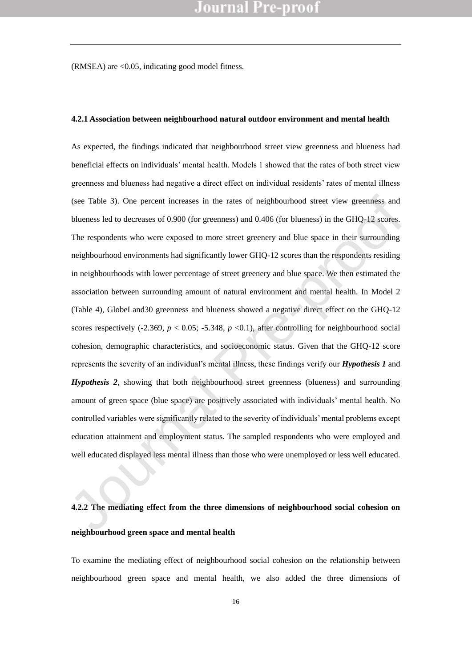$(RMSEA)$  are  $<0.05$ , indicating good model fitness.

#### **4.2.1 Association between neighbourhood natural outdoor environment and mental health**

As expected, the findings indicated that neighbourhood street view greenness and blueness had beneficial effects on individuals' mental health. Models 1 showed that the rates of both street view greenness and blueness had negative a direct effect on individual residents' rates of mental illness (see Table 3). One percent increases in the rates of neighbourhood street view greenness and blueness led to decreases of 0.900 (for greenness) and 0.406 (for blueness) in the GHQ-12 scores. The respondents who were exposed to more street greenery and blue space in their surrounding neighbourhood environments had significantly lower GHQ-12 scores than the respondents residing in neighbourhoods with lower percentage of street greenery and blue space. We then estimated the association between surrounding amount of natural environment and mental health. In Model 2 (Table 4), GlobeLand30 greenness and blueness showed a negative direct effect on the GHQ-12 scores respectively (-2.369,  $p < 0.05$ ; -5.348,  $p < 0.1$ ), after controlling for neighbourhood social cohesion, demographic characteristics, and socioeconomic status. Given that the GHQ-12 score represents the severity of an individual's mental illness, these findings verify our *Hypothesis 1* and *Hypothesis 2*, showing that both neighbourhood street greenness (blueness) and surrounding amount of green space (blue space) are positively associated with individuals' mental health. No controlled variables were significantly related to the severity of individuals' mental problems except education attainment and employment status. The sampled respondents who were employed and well educated displayed less mental illness than those who were unemployed or less well educated. (see Table 3). One percent increases in the rates of neighbourhood street view greenness and<br>blueness led to decreases of 0.900 (for greenness) and 0.406 (for blueness) in the GHQ-12 scores.<br>The respondents who were expos

# **4.2.2 The mediating effect from the three dimensions of neighbourhood social cohesion on neighbourhood green space and mental health**

To examine the mediating effect of neighbourhood social cohesion on the relationship between neighbourhood green space and mental health, we also added the three dimensions of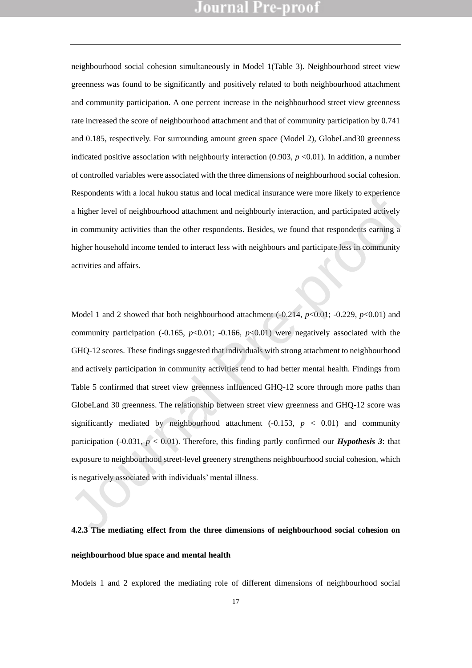neighbourhood social cohesion simultaneously in Model 1(Table 3). Neighbourhood street view greenness was found to be significantly and positively related to both neighbourhood attachment and community participation. A one percent increase in the neighbourhood street view greenness rate increased the score of neighbourhood attachment and that of community participation by 0.741 and 0.185, respectively. For surrounding amount green space (Model 2), GlobeLand30 greenness indicated positive association with neighbourly interaction  $(0.903, p < 0.01)$ . In addition, a number of controlled variables were associated with the three dimensions of neighbourhood social cohesion. Respondents with a local hukou status and local medical insurance were more likely to experience a higher level of neighbourhood attachment and neighbourly interaction, and participated actively in community activities than the other respondents. Besides, we found that respondents earning a higher household income tended to interact less with neighbours and participate less in community activities and affairs.

Model 1 and 2 showed that both neighbourhood attachment (-0.214, *p*<0.01; -0.229, *p*<0.01) and community participation (-0.165,  $p<0.01$ ; -0.166,  $p<0.01$ ) were negatively associated with the GHQ-12 scores. These findings suggested that individuals with strong attachment to neighbourhood and actively participation in community activities tend to had better mental health. Findings from Table 5 confirmed that street view greenness influenced GHQ-12 score through more paths than GlobeLand 30 greenness. The relationship between street view greenness and GHQ-12 score was significantly mediated by neighbourhood attachment  $(-0.153, p < 0.01)$  and community participation (-0.031, *p* < 0.01). Therefore, this finding partly confirmed our *Hypothesis 3*: that exposure to neighbourhood street-level greenery strengthens neighbourhood social cohesion, which is negatively associated with individuals' mental illness. Exerpendents will a local motor statis and local intention instance were interesting to experience<br>a higher level of neighbourhood attachment and neighbourly interation, and participated actively<br>in community activities t

# **4.2.3 The mediating effect from the three dimensions of neighbourhood social cohesion on neighbourhood blue space and mental health**

Models 1 and 2 explored the mediating role of different dimensions of neighbourhood social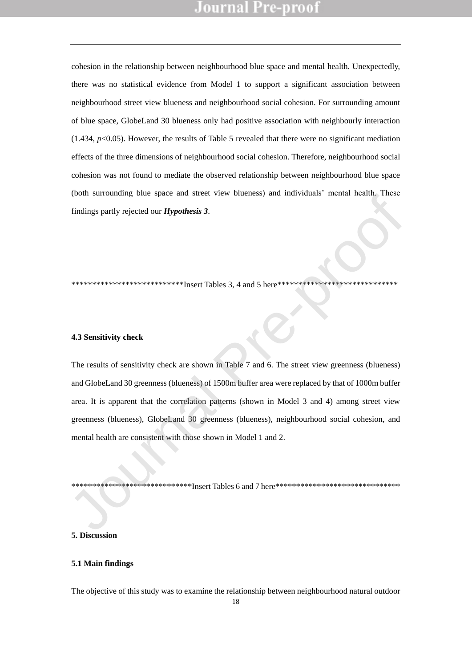cohesion in the relationship between neighbourhood blue space and mental health. Unexpectedly, there was no statistical evidence from Model 1 to support a significant association between neighbourhood street view blueness and neighbourhood social cohesion. For surrounding amount of blue space, GlobeLand 30 blueness only had positive association with neighbourly interaction (1.434,  $p<0.05$ ). However, the results of Table 5 revealed that there were no significant mediation effects of the three dimensions of neighbourhood social cohesion. Therefore, neighbourhood social cohesion was not found to mediate the observed relationship between neighbourhood blue space (both surrounding blue space and street view blueness) and individuals' mental health. These findings partly rejected our *Hypothesis 3*.

\*\*\*\*\*\*\*\*\*\*\*\*\*\*\*\*\*\*\*\*\*\*\*\*\*\*\*\*\*Insert Tables 3, 4 and 5 here\*\*\*\*\*\*\*\*\*\*\*\*\*\*\*\*\*\*\*\*\*\*\*\*\*\*\*\*

#### **4.3 Sensitivity check**

The results of sensitivity check are shown in Table 7 and 6. The street view greenness (blueness) and GlobeLand 30 greenness (blueness) of 1500m buffer area were replaced by that of 1000m buffer area. It is apparent that the correlation patterns (shown in Model 3 and 4) among street view greenness (blueness), GlobeLand 30 greenness (blueness), neighbourhood social cohesion, and mental health are consistent with those shown in Model 1 and 2. (iour surrounding one space and stock view bineness) and individuals include them. These<br>findings partly rejected our *Hypothesis 3*.<br>**4.3 Sensitivity check**<br>The results of sensitivity check are shown in Table 7 and 6. The

\*\*\*\*\*\*\*\*\*\*\*\*\*\*\*\*\*\*\*\*\*\*Insert Tables 6 and 7 here\*\*\*\*\*\*\*\*\*\*\*\*\*\*\*\*\*\*\*\*\*\*\*\*\*\*\*\*\*\*\*\*

#### **5. Discussion**

#### **5.1 Main findings**

The objective of this study was to examine the relationship between neighbourhood natural outdoor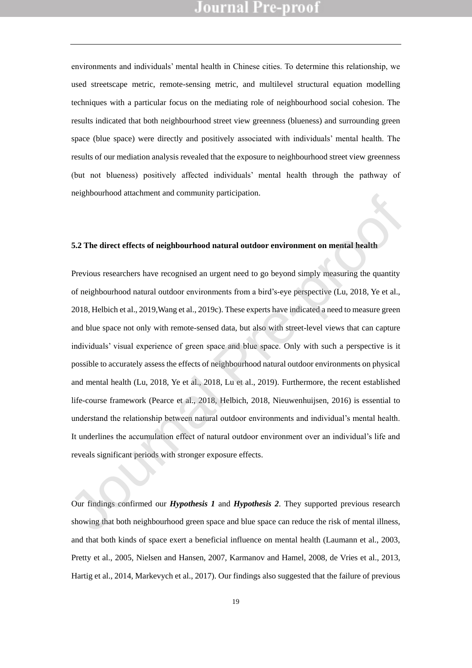environments and individuals' mental health in Chinese cities. To determine this relationship, we used streetscape metric, remote-sensing metric, and multilevel structural equation modelling techniques with a particular focus on the mediating role of neighbourhood social cohesion. The results indicated that both neighbourhood street view greenness (blueness) and surrounding green space (blue space) were directly and positively associated with individuals' mental health. The results of our mediation analysis revealed that the exposure to neighbourhood street view greenness (but not blueness) positively affected individuals' mental health through the pathway of neighbourhood attachment and community participation.

#### **5.2 The direct effects of neighbourhood natural outdoor environment on mental health**

Previous researchers have recognised an urgent need to go beyond simply measuring the quantity of neighbourhood natural outdoor environments from a bird's-eye perspective (Lu, 2018, Ye et al., 2018, Helbich et al., 2019,Wang et al., 2019c). These experts have indicated a need to measure green and blue space not only with remote-sensed data, but also with street-level views that can capture individuals' visual experience of green space and blue space. Only with such a perspective is it possible to accurately assess the effects of neighbourhood natural outdoor environments on physical and mental health (Lu, 2018, Ye et al., 2018, Lu et al., 2019). Furthermore, the recent established life-course framework (Pearce et al., 2018, Helbich, 2018, Nieuwenhuijsen, 2016) is essential to understand the relationship between natural outdoor environments and individual's mental health. It underlines the accumulation effect of natural outdoor environment over an individual's life and reveals significant periods with stronger exposure effects. Integration and a metal and community paracipation.<br>
5.2 The direct effects of neighbourhood natural outdoor environment on mental health<br>
Previous researchers have recognised an urgent need to go beyond simply measuring t

Our findings confirmed our *Hypothesis 1* and *Hypothesis 2*. They supported previous research showing that both neighbourhood green space and blue space can reduce the risk of mental illness, and that both kinds of space exert a beneficial influence on mental health (Laumann et al., 2003, Pretty et al., 2005, Nielsen and Hansen, 2007, Karmanov and Hamel, 2008, de Vries et al., 2013, Hartig et al., 2014, Markevych et al., 2017). Our findings also suggested that the failure of previous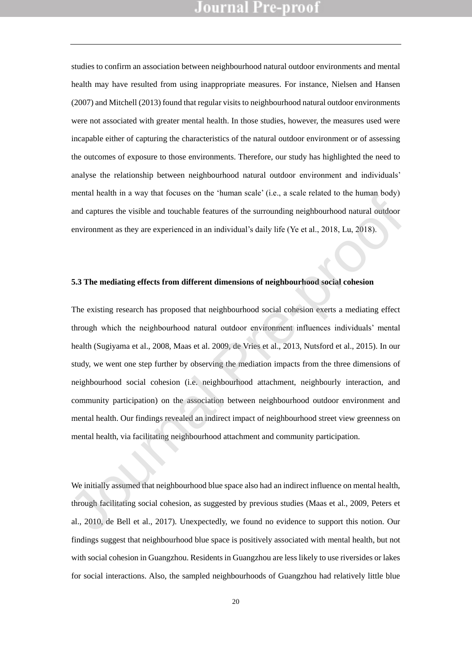studies to confirm an association between neighbourhood natural outdoor environments and mental health may have resulted from using inappropriate measures. For instance, Nielsen and Hansen (2007) and Mitchell (2013) found that regular visits to neighbourhood natural outdoor environments were not associated with greater mental health. In those studies, however, the measures used were incapable either of capturing the characteristics of the natural outdoor environment or of assessing the outcomes of exposure to those environments. Therefore, our study has highlighted the need to analyse the relationship between neighbourhood natural outdoor environment and individuals' mental health in a way that focuses on the 'human scale' (i.e., a scale related to the human body) and captures the visible and touchable features of the surrounding neighbourhood natural outdoor environment as they are experienced in an individual's daily life (Ye et al., 2018, Lu, 2018).

#### **5.3 The mediating effects from different dimensions of neighbourhood social cohesion**

The existing research has proposed that neighbourhood social cohesion exerts a mediating effect through which the neighbourhood natural outdoor environment influences individuals' mental health (Sugiyama et al., 2008, Maas et al. 2009, de Vries et al., 2013, Nutsford et al., 2015). In our study, we went one step further by observing the mediation impacts from the three dimensions of neighbourhood social cohesion (i.e. neighbourhood attachment, neighbourly interaction, and community participation) on the association between neighbourhood outdoor environment and mental health. Our findings revealed an indirect impact of neighbourhood street view greenness on mental health, via facilitating neighbourhood attachment and community participation. meana nearm in a way mat locates on the "numan seale" (i.e., a seale foucate to the numan occupy<br>and captures the visible and touchable features of the surrounding neighbourhood natural outdoor<br>environment as they are exp

We initially assumed that neighbourhood blue space also had an indirect influence on mental health, through facilitating social cohesion, as suggested by previous studies (Maas et al., 2009, Peters et al., 2010, de Bell et al., 2017). Unexpectedly, we found no evidence to support this notion. Our findings suggest that neighbourhood blue space is positively associated with mental health, but not with social cohesion in Guangzhou. Residents in Guangzhou are less likely to use riversides or lakes for social interactions. Also, the sampled neighbourhoods of Guangzhou had relatively little blue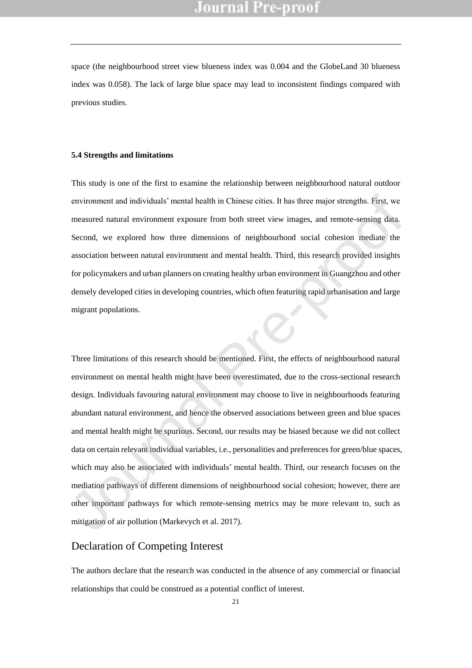space (the neighbourhood street view blueness index was 0.004 and the GlobeLand 30 blueness index was 0.058). The lack of large blue space may lead to inconsistent findings compared with previous studies.

#### **5.4 Strengths and limitations**

This study is one of the first to examine the relationship between neighbourhood natural outdoor environment and individuals' mental health in Chinese cities. It has three major strengths. First, we measured natural environment exposure from both street view images, and remote-sensing data. Second, we explored how three dimensions of neighbourhood social cohesion mediate the association between natural environment and mental health. Third, this research provided insights for policymakers and urban planners on creating healthy urban environment in Guangzhou and other densely developed cities in developing countries, which often featuring rapid urbanisation and large migrant populations.

Three limitations of this research should be mentioned. First, the effects of neighbourhood natural environment on mental health might have been overestimated, due to the cross-sectional research design. Individuals favouring natural environment may choose to live in neighbourhoods featuring abundant natural environment, and hence the observed associations between green and blue spaces and mental health might be spurious. Second, our results may be biased because we did not collect data on certain relevant individual variables, i.e., personalities and preferences for green/blue spaces, which may also be associated with individuals' mental health. Third, our research focuses on the mediation pathways of different dimensions of neighbourhood social cohesion; however, there are other important pathways for which remote-sensing metrics may be more relevant to, such as mitigation of air pollution (Markevych et al. 2017). environment and individuals' mental health in Chinese cities. It has three major strengths. First, we<br>measured natural environment exposure from both street view images, and remote-sensing dista.<br>Second, we explored how th

### Declaration of Competing Interest

The authors declare that the research was conducted in the absence of any commercial or financial relationships that could be construed as a potential conflict of interest.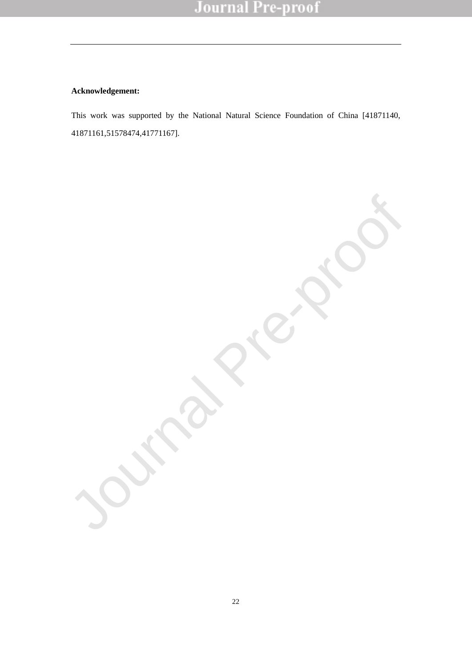#### **Acknowledgement:**

This work was supported by the National Natural Science Foundation of China [41871140, 41871161,51578474,41771167].

Journal Pre-proof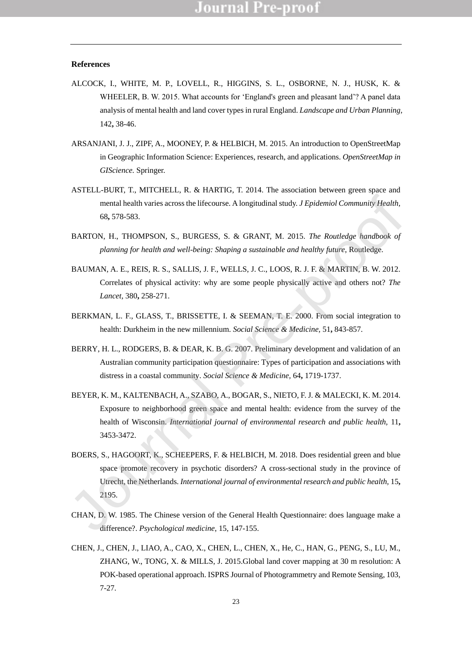#### **References**

- ALCOCK, I., WHITE, M. P., LOVELL, R., HIGGINS, S. L., OSBORNE, N. J., HUSK, K. & WHEELER, B. W. 2015. What accounts for 'England's green and pleasant land'? A panel data analysis of mental health and land cover types in rural England. *Landscape and Urban Planning,* 142**,** 38-46.
- ARSANJANI, J. J., ZIPF, A., MOONEY, P. & HELBICH, M. 2015. An introduction to OpenStreetMap in Geographic Information Science: Experiences, research, and applications. *OpenStreetMap in GIScience.* Springer.
- ASTELL-BURT, T., MITCHELL, R. & HARTIG, T. 2014. The association between green space and mental health varies across the lifecourse. A longitudinal study. *J Epidemiol Community Health,* 68**,** 578-583.
- BARTON, H., THOMPSON, S., BURGESS, S. & GRANT, M. 2015. *The Routledge handbook of planning for health and well-being: Shaping a sustainable and healthy future*, Routledge.
- BAUMAN, A. E., REIS, R. S., SALLIS, J. F., WELLS, J. C., LOOS, R. J. F. & MARTIN, B. W. 2012. Correlates of physical activity: why are some people physically active and others not? *The Lancet,* 380**,** 258-271.
- BERKMAN, L. F., GLASS, T., BRISSETTE, I. & SEEMAN, T. E. 2000. From social integration to health: Durkheim in the new millennium. *Social Science & Medicine,* 51**,** 843-857.
- BERRY, H. L., RODGERS, B. & DEAR, K. B. G. 2007. Preliminary development and validation of an Australian community participation questionnaire: Types of participation and associations with distress in a coastal community. *Social Science & Medicine,* 64**,** 1719-1737.
- BEYER, K. M., KALTENBACH, A., SZABO, A., BOGAR, S., NIETO, F. J. & MALECKI, K. M. 2014. Exposure to neighborhood green space and mental health: evidence from the survey of the health of Wisconsin. *International journal of environmental research and public health,* 11**,** 3453-3472.
- BOERS, S., HAGOORT, K., SCHEEPERS, F. & HELBICH, M. 2018. Does residential green and blue space promote recovery in psychotic disorders? A cross-sectional study in the province of Utrecht, the Netherlands. *International journal of environmental research and public health,* 15**,** 2195. mental health varies across the lifecourse. A longitudinal study, *J Epidemiol Community Health*, 68, 578-583.<br>
BARTON, H., THOMPSON, S., BURGESS. S. & GRANT, M. 2015. The Routledge handbook of<br>
planning for health and we
- CHAN, D. W. 1985. The Chinese version of the General Health Questionnaire: does language make a difference?. *Psychological medicine*, 15, 147-155.
- CHEN, J., CHEN, J., LIAO, A., CAO, X., CHEN, L., CHEN, X., He, C., HAN, G., PENG, S., LU, M., ZHANG, W., TONG, X. & MILLS, J. 2015.Global land cover mapping at 30 m resolution: A POK-based operational approach. ISPRS Journal of Photogrammetry and Remote Sensing, 103, 7-27.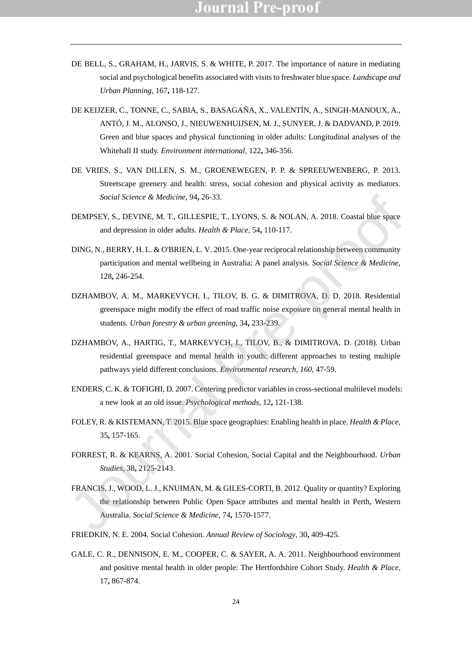- DE BELL, S., GRAHAM, H., JARVIS, S. & WHITE, P. 2017. The importance of nature in mediating social and psychological benefits associated with visits to freshwater blue space. *Landscape and Urban Planning,* 167**,** 118-127.
- DE KEIJZER, C., TONNE, C., SABIA, S., BASAGAÑA, X., VALENTÍN, A., SINGH-MANOUX, A., ANTÓ, J. M., ALONSO, J., NIEUWENHUIJSEN, M. J., SUNYER, J. & DADVAND, P. 2019. Green and blue spaces and physical functioning in older adults: Longitudinal analyses of the Whitehall II study. *Environment international,* 122**,** 346-356.
- DE VRIES, S., VAN DILLEN, S. M., GROENEWEGEN, P. P. & SPREEUWENBERG, P. 2013. Streetscape greenery and health: stress, social cohesion and physical activity as mediators. *Social Science & Medicine,* 94**,** 26-33.
- DEMPSEY, S., DEVINE, M. T., GILLESPIE, T., LYONS, S. & NOLAN, A. 2018. Coastal blue space and depression in older adults. *Health & Place,* 54**,** 110-117.
- DING, N., BERRY, H. L. & O'BRIEN, L. V. 2015. One-year reciprocal relationship between community participation and mental wellbeing in Australia: A panel analysis. *Social Science & Medicine,* 128**,** 246-254.
- DZHAMBOV, A. M., MARKEVYCH, I., TILOV, B. G. & DIMITROVA, D. D. 2018. Residential greenspace might modify the effect of road traffic noise exposure on general mental health in students. *Urban forestry & urban greening,* 34**,** 233-239.
- DZHAMBOV, A., HARTIG, T., MARKEVYCH, I., TILOV, B., & DIMITROVA, D. (2018). Urban residential greenspace and mental health in youth: different approaches to testing multiple pathways yield different conclusions. *Environmental research*, *160*, 47-59.
- ENDERS, C. K. & TOFIGHI, D. 2007. Centering predictor variables in cross-sectional multilevel models: a new look at an old issue. *Psychological methods,* 12**,** 121-138.
- FOLEY, R. & KISTEMANN, T. 2015. Blue space geographies: Enabling health in place. *Health & Place,* 35**,** 157-165.
- FORREST, R. & KEARNS, A. 2001. Social Cohesion, Social Capital and the Neighbourhood. *Urban Studies,* 38**,** 2125-2143.
- FRANCIS, J., WOOD, L. J., KNUIMAN, M. & GILES-CORTI, B. 2012. Quality or quantity? Exploring the relationship between Public Open Space attributes and mental health in Perth, Western Australia. *Social Science & Medicine,* 74**,** 1570-1577. Social Science & Medicine, 94, 26-33.<br>
DEMPSEY, S., DEVINE, M. T., GILLESPIE. T., LYONS, S. & NOLAN, A. 2018. Coastal blue space<br>
and depression in older adults. *Health & Place*, 54, 110-117.<br>
DING, N., RERRY, H. I., & O
- FRIEDKIN, N. E. 2004. Social Cohesion. *Annual Review of Sociology,* 30**,** 409-425.
- GALE, C. R., DENNISON, E. M., COOPER, C. & SAYER, A. A. 2011. Neighbourhood environment and positive mental health in older people: The Hertfordshire Cohort Study. *Health & Place,* 17**,** 867-874.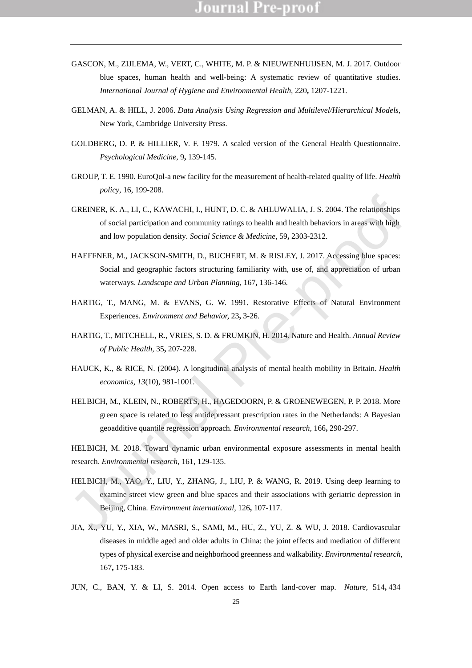- GASCON, M., ZIJLEMA, W., VERT, C., WHITE, M. P. & NIEUWENHUIJSEN, M. J. 2017. Outdoor blue spaces, human health and well-being: A systematic review of quantitative studies. *International Journal of Hygiene and Environmental Health,* 220**,** 1207-1221.
- GELMAN, A. & HILL, J. 2006. *Data Analysis Using Regression and Multilevel/Hierarchical Models,*  New York, Cambridge University Press.
- GOLDBERG, D. P. & HILLIER, V. F. 1979. A scaled version of the General Health Questionnaire. *Psychological Medicine,* 9**,** 139-145.
- GROUP, T. E. 1990. EuroQol-a new facility for the measurement of health-related quality of life. *Health policy*, 16, 199-208.
- GREINER, K. A., LI, C., KAWACHI, I., HUNT, D. C. & AHLUWALIA, J. S. 2004. The relationships of social participation and community ratings to health and health behaviors in areas with high and low population density. *Social Science & Medicine,* 59**,** 2303-2312.
- HAEFFNER, M., JACKSON-SMITH, D., BUCHERT, M. & RISLEY, J. 2017. Accessing blue spaces: Social and geographic factors structuring familiarity with, use of, and appreciation of urban waterways. *Landscape and Urban Planning,* 167**,** 136-146.
- HARTIG, T., MANG, M. & EVANS, G. W. 1991. Restorative Effects of Natural Environment Experiences. *Environment and Behavior,* 23**,** 3-26.
- HARTIG, T., MITCHELL, R., VRIES, S. D. & FRUMKIN, H. 2014. Nature and Health. *Annual Review of Public Health,* 35**,** 207-228.
- HAUCK, K., & RICE, N. (2004). A longitudinal analysis of mental health mobility in Britain. *Health economics*, *13*(10), 981-1001.
- HELBICH, M., KLEIN, N., ROBERTS, H., HAGEDOORN, P. & GROENEWEGEN, P. P. 2018. More green space is related to less antidepressant prescription rates in the Netherlands: A Bayesian geoadditive quantile regression approach. *Environmental research,* 166**,** 290-297.

HELBICH, M. 2018. Toward dynamic urban environmental exposure assessments in mental health research. *Environmental research*, 161, 129-135.

- HELBICH, M., YAO, Y., LIU, Y., ZHANG, J., LIU, P. & WANG, R. 2019. Using deep learning to examine street view green and blue spaces and their associations with geriatric depression in Beijing, China. *Environment international,* 126**,** 107-117. GREINFIR, K. A., I.J., C., KAWACHI, I., HUNT, D. C. & AHLIWALIA, J. S. 2004. The relationships<br>
of social participation and community ratings to health and health behaviors in arcas with high<br>
and low population density.
- JIA, X., YU, Y., XIA, W., MASRI, S., SAMI, M., HU, Z., YU, Z. & WU, J. 2018. Cardiovascular diseases in middle aged and older adults in China: the joint effects and mediation of different types of physical exercise and neighborhood greenness and walkability. *Environmental research,* 167**,** 175-183.
- JUN, C., BAN, Y. & LI, S. 2014. Open access to Earth land-cover map. *Nature,* 514**,** 434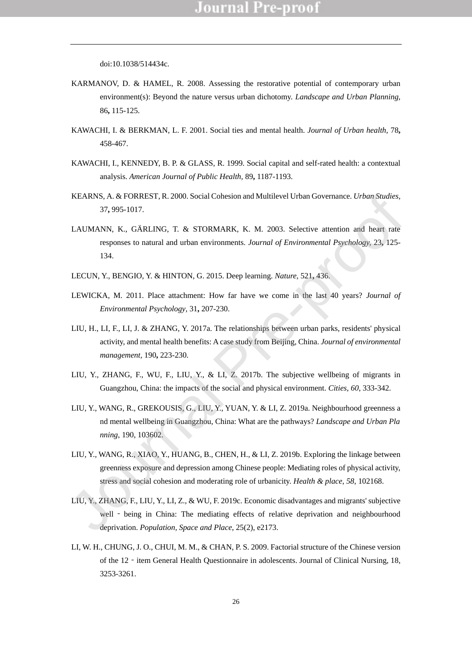doi:10.1038/514434c.

- KARMANOV, D. & HAMEL, R. 2008. Assessing the restorative potential of contemporary urban environment(s): Beyond the nature versus urban dichotomy. *Landscape and Urban Planning,* 86**,** 115-125.
- KAWACHI, I. & BERKMAN, L. F. 2001. Social ties and mental health. *Journal of Urban health,* 78**,** 458-467.
- KAWACHI, I., KENNEDY, B. P. & GLASS, R. 1999. Social capital and self-rated health: a contextual analysis. *American Journal of Public Health,* 89**,** 1187-1193.
- KEARNS, A. & FORREST, R. 2000. Social Cohesion and Multilevel Urban Governance. *Urban Studies,* 37**,** 995-1017.
- LAUMANN, K., GÄRLING, T. & STORMARK, K. M. 2003. Selective attention and heart rate responses to natural and urban environments. *Journal of Environmental Psychology,* 23**,** 125- 134.
- LECUN, Y., BENGIO, Y. & HINTON, G. 2015. Deep learning. *Nature,* 521**,** 436.
- LEWICKA, M. 2011. Place attachment: How far have we come in the last 40 years? *Journal of Environmental Psychology,* 31**,** 207-230.
- LIU, H., LI, F., LI, J. & ZHANG, Y. 2017a. The relationships between urban parks, residents' physical activity, and mental health benefits: A case study from Beijing, China. *Journal of environmental management,* 190**,** 223-230.
- LIU, Y., ZHANG, F., WU, F., LIU, Y., & LI, Z. 2017b. The subjective wellbeing of migrants in Guangzhou, China: the impacts of the social and physical environment. *Cities*, *60*, 333-342.
- LIU, Y., WANG, R., GREKOUSIS, G., LIU, Y., YUAN, Y. & LI, Z. 2019a. Neighbourhood greenness a nd mental wellbeing in Guangzhou, China: What are the pathways? *Landscape and Urban Pla nning*, 190, 103602.
- LIU, Y., WANG, R., XIAO, Y., HUANG, B., CHEN, H., & LI, Z. 2019b. Exploring the linkage between greenness exposure and depression among Chinese people: Mediating roles of physical activity, stress and social cohesion and moderating role of urbanicity. *Health & place*, *58*, 102168. KEARNS, A. & FORREST, R. 2000. Social Cohesion and Multilevel Urban Governance. *Urban Studies*,<br>
37, 995-1017.<br>
LAUMANN, K., GÄRLING, T. & STORMARK, K. M. 2003. Selective attention and heart rate<br>
responses to natural an
- LIU, Y., ZHANG, F., LIU, Y., LI, Z., & WU, F. 2019c. Economic disadvantages and migrants' subjective well - being in China: The mediating effects of relative deprivation and neighbourhood deprivation. *Population, Space and Place*, 25(2), e2173.
- LI, W. H., CHUNG, J. O., CHUI, M. M., & CHAN, P. S. 2009. Factorial structure of the Chinese version of the 12 - item General Health Questionnaire in adolescents. Journal of Clinical Nursing, 18, 3253-3261.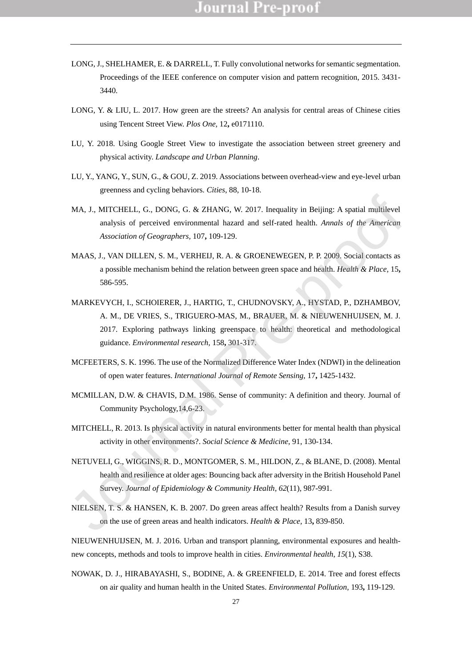- LONG, J., SHELHAMER, E. & DARRELL, T. Fully convolutional networks for semantic segmentation. Proceedings of the IEEE conference on computer vision and pattern recognition, 2015. 3431- 3440.
- LONG, Y. & LIU, L. 2017. How green are the streets? An analysis for central areas of Chinese cities using Tencent Street View. *Plos One,* 12**,** e0171110.
- LU, Y. 2018. Using Google Street View to investigate the association between street greenery and physical activity. *Landscape and Urban Planning*.
- LU, Y., YANG, Y., SUN, G., & GOU, Z. 2019. Associations between overhead-view and eye-level urban greenness and cycling behaviors. *Cities*, 88, 10-18.
- MA, J., MITCHELL, G., DONG, G. & ZHANG, W. 2017. Inequality in Beijing: A spatial multilevel analysis of perceived environmental hazard and self-rated health. *Annals of the American Association of Geographers,* 107**,** 109-129.
- MAAS, J., VAN DILLEN, S. M., VERHEIJ, R. A. & GROENEWEGEN, P. P. 2009. Social contacts as a possible mechanism behind the relation between green space and health. *Health & Place,* 15**,** 586-595.
- MARKEVYCH, I., SCHOIERER, J., HARTIG, T., CHUDNOVSKY, A., HYSTAD, P., DZHAMBOV, A. M., DE VRIES, S., TRIGUERO-MAS, M., BRAUER, M. & NIEUWENHUIJSEN, M. J. 2017. Exploring pathways linking greenspace to health: theoretical and methodological guidance. *Environmental research,* 158**,** 301-317. MA, J., MITCHELL, G., DONG, G. & ZHANG, W. 2017. Inequality in Beijing: A spatial multilevel<br>analysis of perceived environmental hazard and self-rated health. Annals of the American<br>Association of Geographers, 107, 109-12
- MCFEETERS, S. K. 1996. The use of the Normalized Difference Water Index (NDWI) in the delineation of open water features. *International Journal of Remote Sensing,* 17**,** 1425-1432.
- MCMILLAN, D.W. & CHAVIS, D.M. 1986. Sense of community: A definition and theory. Journal of Community Psychology,14,6-23.
- MITCHELL, R. 2013. Is physical activity in natural environments better for mental health than physical activity in other environments?. *Social Science & Medicine*, 91, 130-134.
- NETUVELI, G., WIGGINS, R. D., MONTGOMER, S. M., HILDON, Z., & BLANE, D. (2008). Mental health and resilience at older ages: Bouncing back after adversity in the British Household Panel Survey. *Journal of Epidemiology & Community Health*, *62*(11), 987-991.
- NIELSEN, T. S. & HANSEN, K. B. 2007. Do green areas affect health? Results from a Danish survey on the use of green areas and health indicators. *Health & Place,* 13**,** 839-850.

NIEUWENHUIJSEN, M. J. 2016. Urban and transport planning, environmental exposures and healthnew concepts, methods and tools to improve health in cities. *Environmental health*, *15*(1), S38.

NOWAK, D. J., HIRABAYASHI, S., BODINE, A. & GREENFIELD, E. 2014. Tree and forest effects on air quality and human health in the United States. *Environmental Pollution,* 193**,** 119-129.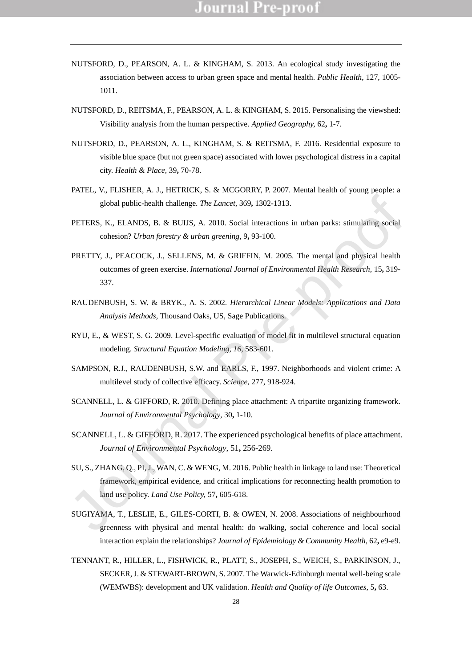- NUTSFORD, D., PEARSON, A. L. & KINGHAM, S. 2013. An ecological study investigating the association between access to urban green space and mental health. *Public Health*, 127, 1005- 1011.
- NUTSFORD, D., REITSMA, F., PEARSON, A. L. & KINGHAM, S. 2015. Personalising the viewshed: Visibility analysis from the human perspective. *Applied Geography,* 62**,** 1-7.
- NUTSFORD, D., PEARSON, A. L., KINGHAM, S. & REITSMA, F. 2016. Residential exposure to visible blue space (but not green space) associated with lower psychological distress in a capital city. *Health & Place,* 39**,** 70-78.
- PATEL, V., FLISHER, A. J., HETRICK, S. & MCGORRY, P. 2007. Mental health of young people: a global public-health challenge. *The Lancet,* 369**,** 1302-1313.
- PETERS, K., ELANDS, B. & BUIJS, A. 2010. Social interactions in urban parks: stimulating social cohesion? *Urban forestry & urban greening,* 9**,** 93-100.
- PRETTY, J., PEACOCK, J., SELLENS, M. & GRIFFIN, M. 2005. The mental and physical health outcomes of green exercise. *International Journal of Environmental Health Research,* 15**,** 319- 337.
- RAUDENBUSH, S. W. & BRYK., A. S. 2002. *Hierarchical Linear Models: Applications and Data Analysis Methods,* Thousand Oaks, US, Sage Publications.
- RYU, E., & WEST, S. G. 2009. Level-specific evaluation of model fit in multilevel structural equation modeling. *Structural Equation Modeling*, *16*, 583-601.
- SAMPSON, R.J., RAUDENBUSH, S.W. and EARLS, F., 1997. Neighborhoods and violent crime: A multilevel study of collective efficacy. *Science*, 277, 918-924.
- SCANNELL, L. & GIFFORD, R. 2010. Defining place attachment: A tripartite organizing framework. *Journal of Environmental Psychology,* 30**,** 1-10.
- SCANNELL, L. & GIFFORD, R. 2017. The experienced psychological benefits of place attachment. *Journal of Environmental Psychology,* 51**,** 256-269.
- SU, S., ZHANG, Q., PI, J., WAN, C. & WENG, M. 2016. Public health in linkage to land use: Theoretical framework, empirical evidence, and critical implications for reconnecting health promotion to land use policy. *Land Use Policy,* 57**,** 605-618. global public-health challenge. *The Lancet*, 369, 1302-1313.<br>
PETERS, K., ELANDS, B. & BUIJS, A. 2010. Social interactions in urban parks: stimulating social<br>
cohesion? *Urban forestry & urban greening*, 9, 93-100.<br>
PRETT
- SUGIYAMA, T., LESLIE, E., GILES-CORTI, B. & OWEN, N. 2008. Associations of neighbourhood greenness with physical and mental health: do walking, social coherence and local social interaction explain the relationships? *Journal of Epidemiology & Community Health,* 62**,** e9-e9.
- TENNANT, R., HILLER, L., FISHWICK, R., PLATT, S., JOSEPH, S., WEICH, S., PARKINSON, J., SECKER, J. & STEWART-BROWN, S. 2007. The Warwick-Edinburgh mental well-being scale (WEMWBS): development and UK validation. *Health and Quality of life Outcomes,* 5**,** 63.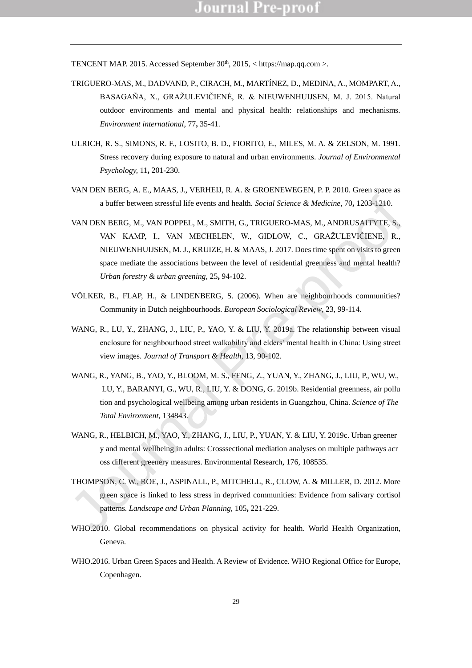TENCENT MAP. 2015. Accessed September  $30<sup>th</sup>$ ,  $2015$ ,  $\lt$  https://map.qq.com  $\gt$ .

- TRIGUERO-MAS, M., DADVAND, P., CIRACH, M., MARTÍNEZ, D., MEDINA, A., MOMPART, A., BASAGAÑA, X., GRAŽULEVIČIENĖ, R. & NIEUWENHUIJSEN, M. J. 2015. Natural outdoor environments and mental and physical health: relationships and mechanisms. *Environment international,* 77**,** 35-41.
- ULRICH, R. S., SIMONS, R. F., LOSITO, B. D., FIORITO, E., MILES, M. A. & ZELSON, M. 1991. Stress recovery during exposure to natural and urban environments. *Journal of Environmental Psychology,* 11**,** 201-230.
- VAN DEN BERG, A. E., MAAS, J., VERHEIJ, R. A. & GROENEWEGEN, P. P. 2010. Green space as a buffer between stressful life events and health. *Social Science & Medicine,* 70**,** 1203-1210.
- VAN DEN BERG, M., VAN POPPEL, M., SMITH, G., TRIGUERO-MAS, M., ANDRUSAITYTE, S., VAN KAMP, I., VAN MECHELEN, W., GIDLOW, C., GRAŽULEVIČIENE, R., NIEUWENHUIJSEN, M. J., KRUIZE, H. & MAAS, J. 2017. Does time spent on visits to green space mediate the associations between the level of residential greenness and mental health? *Urban forestry & urban greening,* 25**,** 94-102. a buffer between stressful life cvents and health. *Social Science & Medicine,* 70, 1203-1210.<br>
VAN DEN BERG, M., VAN MOPPEL, M., SMITH, G., TRIGUERO-MAS, M., ANDRUSAITYTE, S.,<br>
VAN KAMP, I., VAN MECHELEN, W., GIDLOW, C.,
- VÖLKER, B., FLAP, H., & LINDENBERG, S. (2006). When are neighbourhoods communities? Community in Dutch neighbourhoods. *European Sociological Review*, 23, 99-114.
- WANG, R., LU, Y., ZHANG, J., LIU, P., YAO, Y. & LIU, Y. 2019a. The relationship between visual enclosure for neighbourhood street walkability and elders' mental health in China: Using street view images. *Journal of Transport & Health*, 13, 90-102.
- WANG, R., YANG, B., YAO, Y., BLOOM, M. S., FENG, Z., YUAN, Y., ZHANG, J., LIU, P., WU, W., LU, Y., BARANYI, G., WU, R., LIU, Y. & DONG, G. 2019b. Residential greenness, air pollu tion and psychological wellbeing among urban residents in Guangzhou, China. *Science of The Total Environment*, 134843.
- WANG, R., HELBICH, M., YAO, Y., ZHANG, J., LIU, P., YUAN, Y. & LIU, Y. 2019c. Urban greener y and mental wellbeing in adults: Crosssectional mediation analyses on multiple pathways acr oss different greenery measures. Environmental Research, 176, 108535.
- THOMPSON, C. W., ROE, J., ASPINALL, P., MITCHELL, R., CLOW, A. & MILLER, D. 2012. More green space is linked to less stress in deprived communities: Evidence from salivary cortisol patterns. *Landscape and Urban Planning,* 105**,** 221-229.
- WHO.2010. Global recommendations on physical activity for health. World Health Organization, Geneva.
- WHO.2016. Urban Green Spaces and Health. A Review of Evidence. WHO Regional Office for Europe, Copenhagen.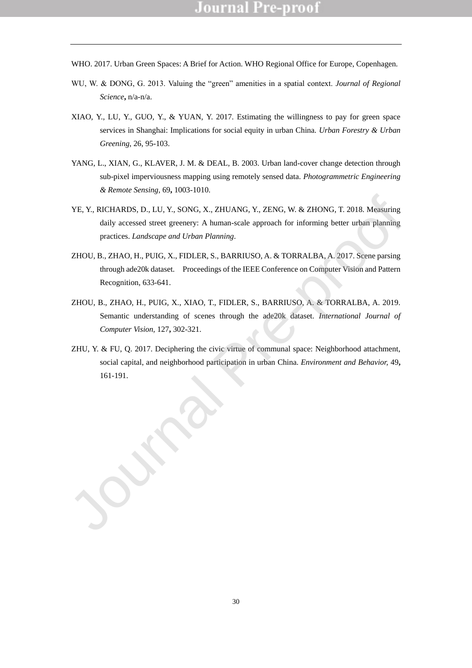- WHO. 2017. Urban Green Spaces: A Brief for Action. WHO Regional Office for Europe, Copenhagen.
- WU, W. & DONG, G. 2013. Valuing the "green" amenities in a spatial context. *Journal of Regional Science***,** n/a-n/a.
- XIAO, Y., LU, Y., GUO, Y., & YUAN, Y. 2017. Estimating the willingness to pay for green space services in Shanghai: Implications for social equity in urban China. *Urban Forestry & Urban Greening*, 26, 95-103.
- YANG, L., XIAN, G., KLAVER, J. M. & DEAL, B. 2003. Urban land-cover change detection through sub-pixel imperviousness mapping using remotely sensed data. *Photogrammetric Engineering & Remote Sensing,* 69**,** 1003-1010.
- YE, Y., RICHARDS, D., LU, Y., SONG, X., ZHUANG, Y., ZENG, W. & ZHONG, T. 2018. Measuring daily accessed street greenery: A human-scale approach for informing better urban planning practices. *Landscape and Urban Planning*. VF, Y., RICHARDS, D., I.U, Y., SONG, X., ZHUANG, Y., ZENG, W. & ZHONG, T. 2018. Mussuring<br>
daily accessed street greenery: A human-scale approach for informing better urbain planning<br>
precises. *Landscape and Urban Plannin*
- ZHOU, B., ZHAO, H., PUIG, X., FIDLER, S., BARRIUSO, A. & TORRALBA, A. 2017. Scene parsing through ade20k dataset. Proceedings of the IEEE Conference on Computer Vision and Pattern Recognition, 633-641.
- ZHOU, B., ZHAO, H., PUIG, X., XIAO, T., FIDLER, S., BARRIUSO, A. & TORRALBA, A. 2019. Semantic understanding of scenes through the ade20k dataset. *International Journal of Computer Vision,* 127**,** 302-321.
- ZHU, Y. & FU, Q. 2017. Deciphering the civic virtue of communal space: Neighborhood attachment, social capital, and neighborhood participation in urban China. *Environment and Behavior,* 49**,**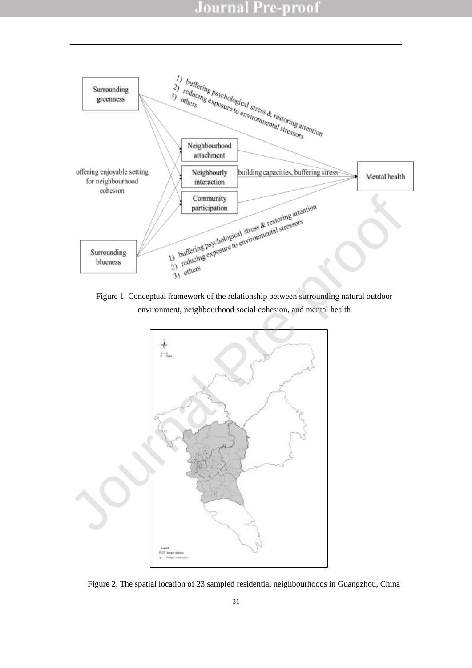

Figure 1. Conceptual framework of the relationship between surrounding natural outdoor



Figure 2. The spatial location of 23 sampled residential neighbourhoods in Guangzhou, China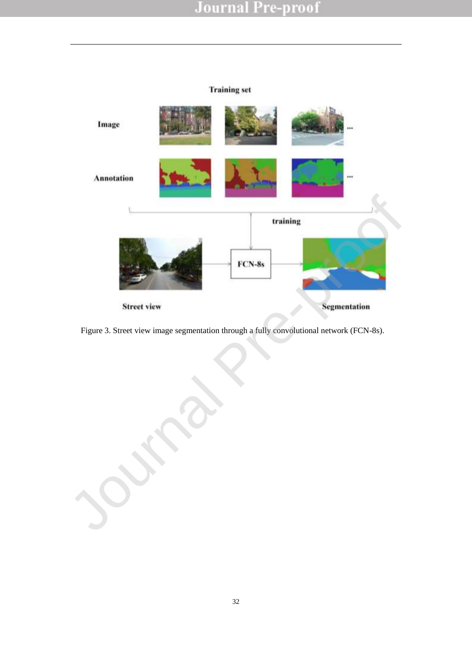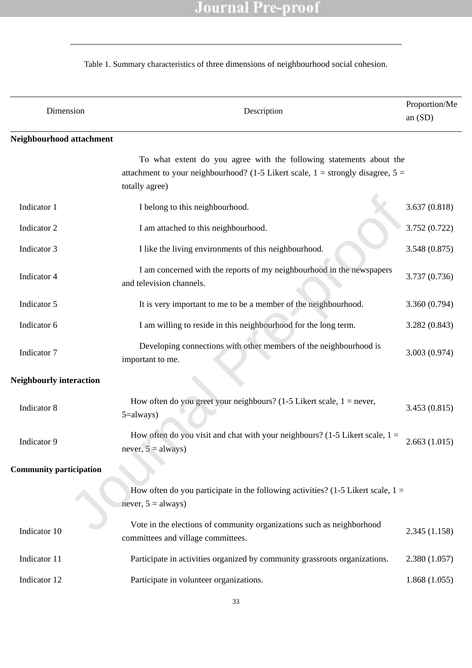$\overline{\phantom{0}}$ 

### Table 1. Summary characteristics of three dimensions of neighbourhood social cohesion.

| Dimension                      | Description                                                                                                                                                                  | Proportion/Me<br>an $(SD)$ |
|--------------------------------|------------------------------------------------------------------------------------------------------------------------------------------------------------------------------|----------------------------|
| Neighbourhood attachment       |                                                                                                                                                                              |                            |
|                                | To what extent do you agree with the following statements about the<br>attachment to your neighbourhood? (1-5 Likert scale, $1 =$ strongly disagree, $5 =$<br>totally agree) |                            |
| Indicator 1                    | I belong to this neighbourhood.                                                                                                                                              | 3.637(0.818)               |
| Indicator 2                    | I am attached to this neighbourhood.                                                                                                                                         | 3.752 (0.722)              |
| Indicator 3                    | I like the living environments of this neighbourhood.                                                                                                                        | 3.548(0.875)               |
| Indicator 4                    | I am concerned with the reports of my neighbourhood in the newspapers<br>and television channels.                                                                            | 3.737 (0.736)              |
| Indicator 5                    | It is very important to me to be a member of the neighbourhood.                                                                                                              | 3.360 (0.794)              |
| Indicator 6                    | I am willing to reside in this neighbourhood for the long term.                                                                                                              | 3.282(0.843)               |
| Indicator 7                    | Developing connections with other members of the neighbourhood is<br>important to me.                                                                                        | 3.003 (0.974)              |
| <b>Neighbourly interaction</b> |                                                                                                                                                                              |                            |
| Indicator 8                    | How often do you greet your neighbours? (1-5 Likert scale, $1 =$ never,<br>5=always)                                                                                         | 3.453(0.815)               |
| Indicator 9                    | How often do you visit and chat with your neighbours? (1-5 Likert scale, $1 =$<br>never, $5 =$ always)                                                                       | 2.663(1.015)               |
| <b>Community participation</b> |                                                                                                                                                                              |                            |
|                                | How often do you participate in the following activities? (1-5 Likert scale, $1 =$<br>never, $5 =$ always)                                                                   |                            |
| Indicator 10                   | Vote in the elections of community organizations such as neighborhood<br>committees and village committees.                                                                  | 2.345(1.158)               |
| Indicator 11                   | Participate in activities organized by community grassroots organizations.                                                                                                   | 2.380(1.057)               |
| Indicator 12                   | Participate in volunteer organizations.                                                                                                                                      | 1.868(1.055)               |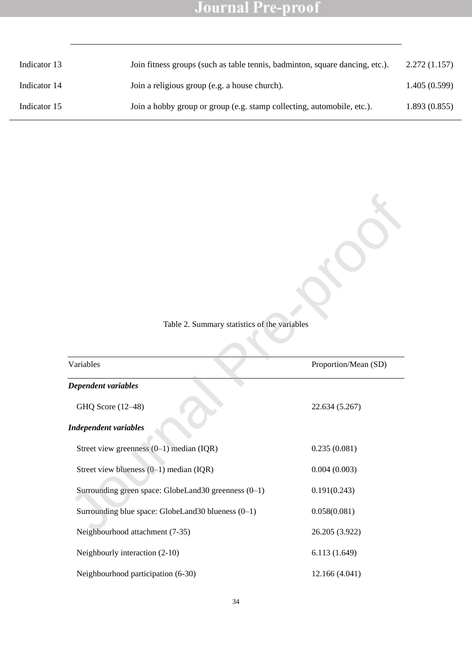| Indicator 13 | Join fitness groups (such as table tennis, badminton, square dancing, etc.). | 2.272(1.157) |
|--------------|------------------------------------------------------------------------------|--------------|
| Indicator 14 | Join a religious group (e.g. a house church).                                | 1.405(0.599) |
| Indicator 15 | Join a hobby group or group (e.g. stamp collecting, automobile, etc.).       | 1.893(0.855) |

Table 2. Summary statistics of the variables Journal Pre-proof

| Variables                                              | Proportion/Mean (SD) |
|--------------------------------------------------------|----------------------|
| Dependent variables                                    |                      |
| GHQ Score (12-48)                                      | 22.634 (5.267)       |
| <b>Independent variables</b>                           |                      |
| Street view greenness $(0-1)$ median $(IQR)$           | 0.235(0.081)         |
| Street view blueness $(0-1)$ median (IQR)              | 0.004(0.003)         |
| Surrounding green space: GlobeLand30 greenness $(0-1)$ | 0.191(0.243)         |
| Surrounding blue space: GlobeLand30 blueness $(0-1)$   | 0.058(0.081)         |
| Neighbourhood attachment (7-35)                        | 26.205 (3.922)       |
| Neighbourly interaction (2-10)                         | 6.113(1.649)         |
| Neighbourhood participation (6-30)                     | 12.166 (4.041)       |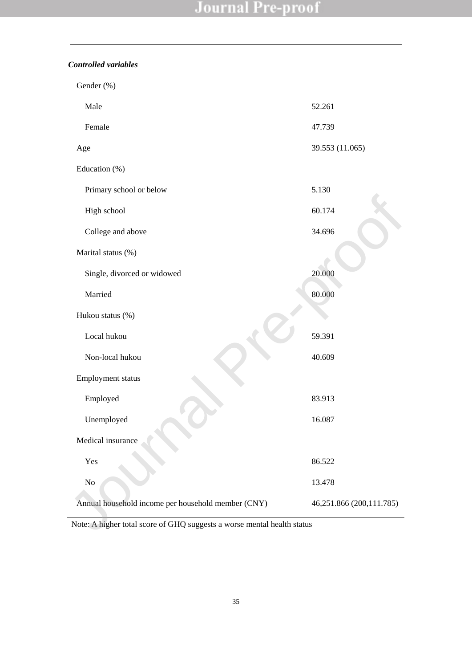*Controlled variables*

| Gender (%)                                                              |                          |
|-------------------------------------------------------------------------|--------------------------|
| Male                                                                    | 52.261                   |
| Female                                                                  | 47.739                   |
| Age                                                                     | 39.553 (11.065)          |
| Education (%)                                                           |                          |
| Primary school or below                                                 | 5.130                    |
| High school                                                             | 60.174                   |
| College and above                                                       | 34.696                   |
| Marital status (%)                                                      |                          |
| Single, divorced or widowed                                             | 20.000                   |
| Married                                                                 | 80.000                   |
| Hukou status (%)                                                        |                          |
| Local hukou                                                             | 59.391                   |
| Non-local hukou                                                         | 40.609                   |
| Employment status                                                       |                          |
| Employed                                                                | 83.913                   |
| Unemployed                                                              | 16.087                   |
| Medical insurance                                                       |                          |
| Yes                                                                     | 86.522                   |
| N <sub>o</sub>                                                          | 13.478                   |
| Annual household income per household member (CNY)                      | 46,251.866 (200,111.785) |
| Note: A higher total score of GHQ suggests a worse mental health status |                          |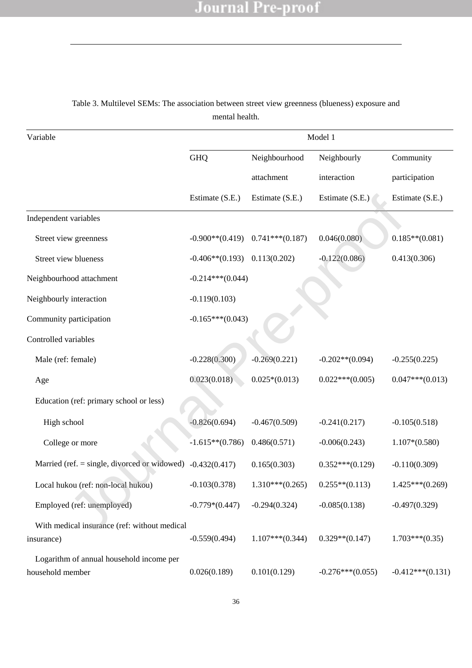| Variable                                                     | Model 1            |                   |                    |                    |  |
|--------------------------------------------------------------|--------------------|-------------------|--------------------|--------------------|--|
|                                                              | <b>GHQ</b>         | Neighbourhood     | Neighbourly        | Community          |  |
|                                                              |                    | attachment        | interaction        | participation      |  |
|                                                              | Estimate (S.E.)    | Estimate (S.E.)   | Estimate (S.E.)    | Estimate (S.E.)    |  |
| Independent variables                                        |                    |                   |                    |                    |  |
| Street view greenness                                        | $-0.900**$ (0.419) | $0.741***(0.187)$ | 0.046(0.080)       | $0.185**$ (0.081)  |  |
| Street view blueness                                         | $-0.406**$ (0.193) | 0.113(0.202)      | $-0.122(0.086)$    | 0.413(0.306)       |  |
| Neighbourhood attachment                                     | $-0.214***(0.044)$ |                   |                    |                    |  |
| Neighbourly interaction                                      | $-0.119(0.103)$    |                   |                    |                    |  |
| Community participation                                      | $-0.165***(0.043)$ |                   |                    |                    |  |
| Controlled variables                                         |                    |                   |                    |                    |  |
| Male (ref: female)                                           | $-0.228(0.300)$    | $-0.269(0.221)$   | $-0.202**$ (0.094) | $-0.255(0.225)$    |  |
| Age                                                          | 0.023(0.018)       | $0.025*(0.013)$   | $0.022***(0.005)$  | $0.047***(0.013)$  |  |
| Education (ref: primary school or less)                      |                    |                   |                    |                    |  |
| High school                                                  | $-0.826(0.694)$    | $-0.467(0.509)$   | $-0.241(0.217)$    | $-0.105(0.518)$    |  |
| College or more                                              | $-1.615**$ (0.786) | 0.486(0.571)      | $-0.006(0.243)$    | $1.107*(0.580)$    |  |
| Married (ref. $=$ single, divorced or widowed)               | $-0.432(0.417)$    | 0.165(0.303)      | $0.352***(0.129)$  | $-0.110(0.309)$    |  |
| Local hukou (ref: non-local hukou)                           | $-0.103(0.378)$    | $1.310***(0.265)$ | $0.255**$ (0.113)  | $1.425***(0.269)$  |  |
| Employed (ref: unemployed)                                   | $-0.779*(0.447)$   | $-0.294(0.324)$   | $-0.085(0.138)$    | $-0.497(0.329)$    |  |
| With medical insurance (ref: without medical<br>insurance)   | $-0.559(0.494)$    | $1.107***(0.344)$ | $0.329**$ (0.147)  | $1.703***(0.35)$   |  |
| Logarithm of annual household income per<br>household member | 0.026(0.189)       | 0.101(0.129)      | $-0.276***(0.055)$ | $-0.412***(0.131)$ |  |

Table 3. Multilevel SEMs: The association between street view greenness (blueness) exposure and mental health.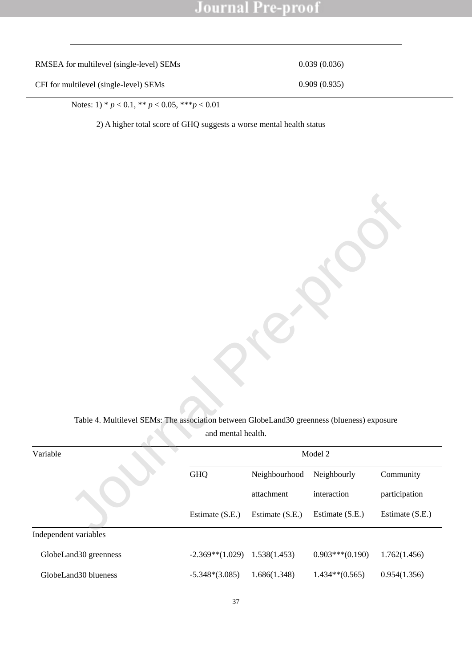RMSEA for multilevel (single-level) SEMs 0.039 (0.036)

CFI for multilevel (single-level) SEMs 0.909 (0.935)

Notes: 1) \* *p* < 0.1, \*\* *p* < 0.05, \*\*\**p* < 0.01

2) A higher total score of GHQ suggests a worse mental health status

| Table 4. Multilevel SEMs: The association between GlobeLand30 greenness (blueness) exposure |                    |                 |                   |                 |
|---------------------------------------------------------------------------------------------|--------------------|-----------------|-------------------|-----------------|
|                                                                                             | and mental health. |                 |                   |                 |
| Variable                                                                                    |                    |                 | Model 2           |                 |
|                                                                                             | GHQ                | Neighbourhood   | Neighbourly       | Community       |
|                                                                                             |                    | attachment      | interaction       | participation   |
|                                                                                             | Estimate (S.E.)    | Estimate (S.E.) | Estimate (S.E.)   | Estimate (S.E.) |
| Independent variables                                                                       |                    |                 |                   |                 |
| GlobeLand30 greenness                                                                       | $-2.369**$ (1.029) | 1.538(1.453)    | $0.903***(0.190)$ | 1.762(1.456)    |
| GlobeLand30 blueness                                                                        | $-5.348*(3.085)$   | 1.686(1.348)    | $1.434**$ (0.565) | 0.954(1.356)    |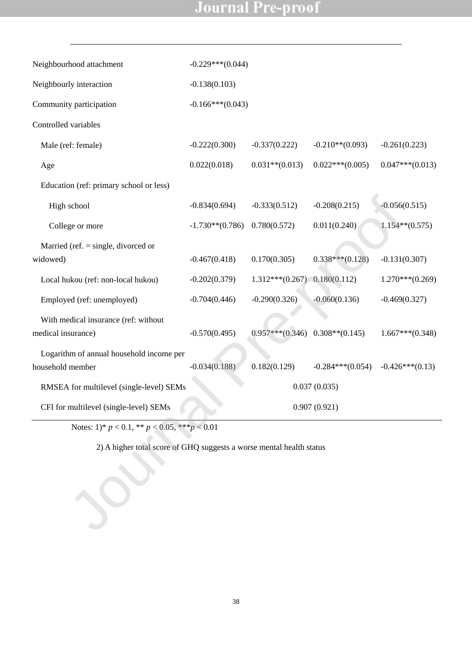| Neighbourhood attachment                                             | $-0.229***(0.044)$ |                   |                    |                   |
|----------------------------------------------------------------------|--------------------|-------------------|--------------------|-------------------|
| Neighbourly interaction                                              | $-0.138(0.103)$    |                   |                    |                   |
| Community participation                                              | $-0.166***(0.043)$ |                   |                    |                   |
| Controlled variables                                                 |                    |                   |                    |                   |
| Male (ref: female)                                                   | $-0.222(0.300)$    | $-0.337(0.222)$   | $-0.210**$ (0.093) | $-0.261(0.223)$   |
| Age                                                                  | 0.022(0.018)       | $0.031**$ (0.013) | $0.022***(0.005)$  | $0.047***(0.013)$ |
| Education (ref: primary school or less)                              |                    |                   |                    |                   |
| High school                                                          | $-0.834(0.694)$    | $-0.333(0.512)$   | $-0.208(0.215)$    | $-0.056(0.515)$   |
| College or more                                                      | $-1.730**$ (0.786) | 0.780(0.572)      | 0.011(0.240)       | $1.154**$ (0.575) |
| Married (ref. $=$ single, divorced or<br>widowed)                    | $-0.467(0.418)$    | 0.170(0.305)      | $0.338***(0.128)$  | $-0.131(0.307)$   |
| Local hukou (ref: non-local hukou)                                   | $-0.202(0.379)$    | $1.312***(0.267)$ | 0.180(0.112)       | $1.270***(0.269)$ |
| Employed (ref: unemployed)                                           | $-0.704(0.446)$    | $-0.290(0.326)$   | $-0.060(0.136)$    | $-0.469(0.327)$   |
| With medical insurance (ref: without<br>medical insurance)           | $-0.570(0.495)$    | $0.957***(0.346)$ | $0.308**$ (0.145)  | $1.667***(0.348)$ |
| Logarithm of annual household income per<br>household member         | $-0.034(0.188)$    | 0.182(0.129)      | $-0.284***(0.054)$ | $-0.426***(0.13)$ |
| RMSEA for multilevel (single-level) SEMs                             |                    |                   | 0.037(0.035)       |                   |
| CFI for multilevel (single-level) SEMs                               |                    |                   | 0.907(0.921)       |                   |
| Notes: $1)* p < 0.1, ** p < 0.05, *** p < 0.01$                      |                    |                   |                    |                   |
| 2) A higher total score of GHQ suggests a worse mental health status |                    |                   |                    |                   |
|                                                                      |                    |                   |                    |                   |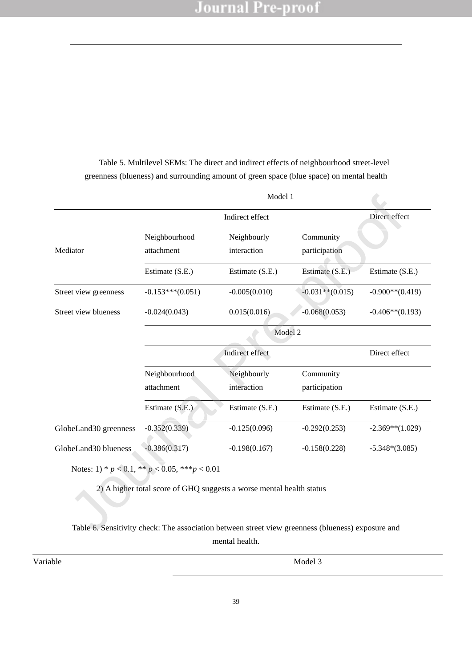|                       |                                                        | Indirect effect                                                                                   |                    | Direct effect      |  |
|-----------------------|--------------------------------------------------------|---------------------------------------------------------------------------------------------------|--------------------|--------------------|--|
|                       | Neighbourhood                                          | Neighbourly                                                                                       | Community          |                    |  |
| Mediator              | attachment                                             | interaction                                                                                       | participation      |                    |  |
|                       | Estimate (S.E.)                                        | Estimate (S.E.)                                                                                   | Estimate (S.E.)    | Estimate (S.E.)    |  |
| Street view greenness | $-0.153***(0.051)$                                     | $-0.005(0.010)$                                                                                   | $-0.031**$ (0.015) | $-0.900**$ (0.419) |  |
| Street view blueness  | $-0.024(0.043)$                                        | 0.015(0.016)                                                                                      | $-0.068(0.053)$    | $-0.406**$ (0.193) |  |
|                       | Model 2                                                |                                                                                                   |                    |                    |  |
|                       | Indirect effect                                        |                                                                                                   |                    | Direct effect      |  |
|                       | Neighbourhood                                          | Neighbourly                                                                                       | Community          |                    |  |
|                       | attachment                                             | interaction                                                                                       | participation      |                    |  |
|                       | Estimate (S.E.)                                        | Estimate (S.E.)                                                                                   | Estimate (S.E.)    | Estimate (S.E.)    |  |
| GlobeLand30 greenness | $-0.352(0.339)$                                        | $-0.125(0.096)$                                                                                   | $-0.292(0.253)$    | $-2.369**$ (1.029) |  |
| GlobeLand30 blueness  | $-0.386(0.317)$                                        | $-0.198(0.167)$                                                                                   | $-0.158(0.228)$    | $-5.348*(3.085)$   |  |
|                       | Notes: 1) * $p < 0.1$ , ** $p < 0.05$ , *** $p < 0.01$ |                                                                                                   |                    |                    |  |
|                       |                                                        | 2) A higher total score of GHQ suggests a worse mental health status                              |                    |                    |  |
|                       |                                                        | Table 6. Sensitivity check: The association between street view greenness (blueness) exposure and |                    |                    |  |

 Table 5. Multilevel SEMs: The direct and indirect effects of neighbourhood street-level greenness (blueness) and surrounding amount of green space (blue space) on mental health

Table 6. Sensitivity check: The association between street view greenness (blueness) exposure and mental health.

Variable Model 3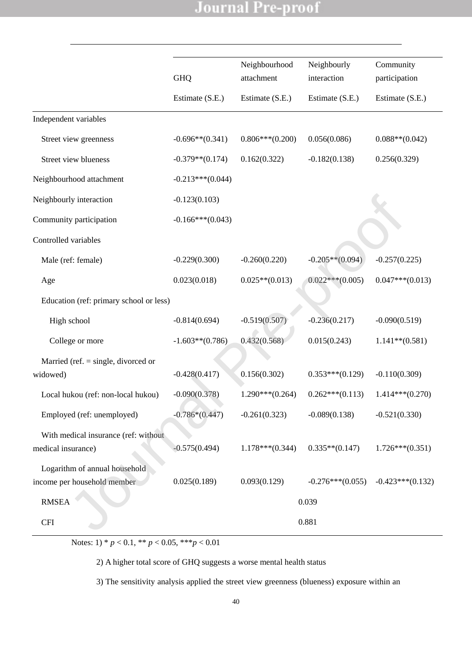|                                                              |                      | Neighbourhood     | Neighbourly        | Community          |
|--------------------------------------------------------------|----------------------|-------------------|--------------------|--------------------|
|                                                              | <b>GHQ</b>           | attachment        | interaction        | participation      |
|                                                              | Estimate (S.E.)      | Estimate (S.E.)   | Estimate (S.E.)    | Estimate (S.E.)    |
| Independent variables                                        |                      |                   |                    |                    |
| Street view greenness                                        | $-0.696**$ $(0.341)$ | $0.806***(0.200)$ | 0.056(0.086)       | $0.088**$ (0.042)  |
| Street view blueness                                         | $-0.379**$ (0.174)   | 0.162(0.322)      | $-0.182(0.138)$    | 0.256(0.329)       |
| Neighbourhood attachment                                     | $-0.213***(0.044)$   |                   |                    |                    |
| Neighbourly interaction                                      | $-0.123(0.103)$      |                   |                    |                    |
| Community participation                                      | $-0.166***(0.043)$   |                   |                    |                    |
| Controlled variables                                         |                      |                   |                    |                    |
| Male (ref: female)                                           | $-0.229(0.300)$      | $-0.260(0.220)$   | $-0.205**$ (0.094) | $-0.257(0.225)$    |
| Age                                                          | 0.023(0.018)         | $0.025**$ (0.013) | $0.022***(0.005)$  | $0.047***(0.013)$  |
| Education (ref: primary school or less)                      |                      |                   |                    |                    |
| High school                                                  | $-0.814(0.694)$      | $-0.519(0.507)$   | $-0.236(0.217)$    | $-0.090(0.519)$    |
| College or more                                              | $-1.603**$ (0.786)   | 0.432(0.568)      | 0.015(0.243)       | $1.141**$ (0.581)  |
| Married (ref. $=$ single, divorced or                        |                      |                   |                    |                    |
| widowed)                                                     | $-0.428(0.417)$      | 0.156(0.302)      | $0.353***(0.129)$  | $-0.110(0.309)$    |
| Local hukou (ref: non-local hukou)                           | $-0.090(0.378)$      | $1.290***(0.264)$ | $0.262***(0.113)$  | $1.414***(0.270)$  |
| Employed (ref: unemployed)                                   | $-0.786*(0.447)$     | $-0.261(0.323)$   | $-0.089(0.138)$    | $-0.521(0.330)$    |
| With medical insurance (ref: without<br>medical insurance)   | $-0.575(0.494)$      | $1.178***(0.344)$ | $0.335**(0.147)$   | $1.726***(0.351)$  |
| Logarithm of annual household<br>income per household member | 0.025(0.189)         | 0.093(0.129)      | $-0.276***(0.055)$ | $-0.423***(0.132)$ |
| <b>RMSEA</b>                                                 |                      |                   | 0.039              |                    |
| <b>CFI</b>                                                   |                      |                   | 0.881              |                    |

Notes: 1) \*  $p < 0.1$ , \*\*  $p < 0.05$ , \*\*\* $p < 0.01$ 

2) A higher total score of GHQ suggests a worse mental health status

3) The sensitivity analysis applied the street view greenness (blueness) exposure within an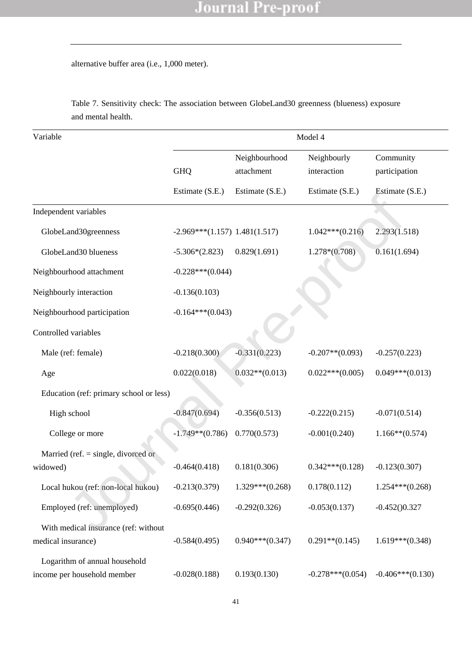alternative buffer area (i.e., 1,000 meter).

| Variable                                | Model 4                         |                             |                            |                            |  |  |
|-----------------------------------------|---------------------------------|-----------------------------|----------------------------|----------------------------|--|--|
|                                         | <b>GHQ</b>                      | Neighbourhood<br>attachment | Neighbourly<br>interaction | Community<br>participation |  |  |
|                                         | Estimate (S.E.)                 | Estimate (S.E.)             | Estimate (S.E.)            | Estimate (S.E.)            |  |  |
| Independent variables                   |                                 |                             |                            |                            |  |  |
| GlobeLand30greenness                    | $-2.969***(1.157)$ 1.481(1.517) |                             | $1.042***(0.216)$          | 2.293(1.518)               |  |  |
| GlobeLand30 blueness                    | $-5.306*(2.823)$                | 0.829(1.691)                | $1.278*(0.708)$            | 0.161(1.694)               |  |  |
| Neighbourhood attachment                | $-0.228***(0.044)$              |                             |                            |                            |  |  |
| Neighbourly interaction                 | $-0.136(0.103)$                 |                             |                            |                            |  |  |
| Neighbourhood participation             | $-0.164***(0.043)$              |                             |                            |                            |  |  |
| Controlled variables                    |                                 |                             |                            |                            |  |  |
| Male (ref: female)                      | $-0.218(0.300)$                 | $-0.331(0.223)$             | $-0.207**$ (0.093)         | $-0.257(0.223)$            |  |  |
| Age                                     | 0.022(0.018)                    | $0.032**$ (0.013)           | $0.022***(0.005)$          | $0.049***(0.013)$          |  |  |
| Education (ref: primary school or less) |                                 |                             |                            |                            |  |  |
| High school                             | $-0.847(0.694)$                 | $-0.356(0.513)$             | $-0.222(0.215)$            | $-0.071(0.514)$            |  |  |
| College or more                         | $-1.749**$ (0.786)              | 0.770(0.573)                | $-0.001(0.240)$            | $1.166**$ (0.574)          |  |  |
| Married (ref. $=$ single, divorced or   |                                 |                             |                            |                            |  |  |
| widowed)                                | $-0.464(0.418)$                 | 0.181(0.306)                | $0.342***(0.128)$          | $-0.123(0.307)$            |  |  |
| Local hukou (ref: non-local hukou)      | $-0.213(0.379)$                 | $1.329***(0.268)$           | 0.178(0.112)               | $1.254***(0.268)$          |  |  |
| Employed (ref: unemployed)              | $-0.695(0.446)$                 | $-0.292(0.326)$             | $-0.053(0.137)$            | $-0.452()0.327$            |  |  |
| With medical insurance (ref: without    |                                 |                             |                            |                            |  |  |
| medical insurance)                      | $-0.584(0.495)$                 | $0.940***(0.347)$           | $0.291**$ (0.145)          | $1.619***(0.348)$          |  |  |
| Logarithm of annual household           |                                 |                             |                            |                            |  |  |
| income per household member             | $-0.028(0.188)$                 | 0.193(0.130)                | $-0.278***(0.054)$         | $-0.406***(0.130)$         |  |  |

Table 7. Sensitivity check: The association between GlobeLand30 greenness (blueness) exposure and mental health.